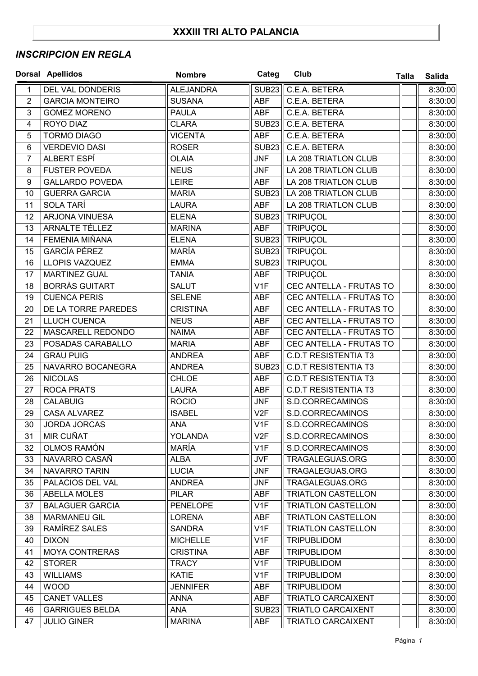## **XXXIII TRI ALTO PALANCIA**

## *INSCRIPCION EN REGLA*

|                | <b>Dorsal Apellidos</b> | <b>Nombre</b>    | Categ             | Club                        | <b>Talla</b> | <b>Salida</b> |
|----------------|-------------------------|------------------|-------------------|-----------------------------|--------------|---------------|
| 1              | DEL VAL DONDERIS        | <b>ALEJANDRA</b> | <b>SUB23</b>      | C.E.A. BETERA               |              | 8:30:00       |
| $\overline{2}$ | <b>GARCIA MONTEIRO</b>  | <b>SUSANA</b>    | <b>ABF</b>        | C.E.A. BETERA               |              | 8:30:00       |
| 3              | <b>GOMEZ MORENO</b>     | <b>PAULA</b>     | <b>ABF</b>        | C.E.A. BETERA               |              | 8:30:00       |
| 4              | ROYO DIAZ               | <b>CLARA</b>     | SUB <sub>23</sub> | C.E.A. BETERA               |              | 8:30:00       |
| 5              | <b>TORMO DIAGO</b>      | <b>VICENTA</b>   | <b>ABF</b>        | C.E.A. BETERA               |              | 8:30:00       |
| 6              | <b>VERDEVIO DASI</b>    | <b>ROSER</b>     | <b>SUB23</b>      | C.E.A. BETERA               |              | 8:30:00       |
| $\overline{7}$ | ALBERT ESPÍ             | <b>OLAIA</b>     | <b>JNF</b>        | LA 208 TRIATLON CLUB        |              | 8:30:00       |
| 8              | <b>FUSTER POVEDA</b>    | <b>NEUS</b>      | <b>JNF</b>        | LA 208 TRIATLON CLUB        |              | 8:30:00       |
| 9              | <b>GALLARDO POVEDA</b>  | <b>LEIRE</b>     | ABF               | LA 208 TRIATLON CLUB        |              | 8:30:00       |
| 10             | <b>GUERRA GARCIA</b>    | <b>MARIA</b>     | SUB <sub>23</sub> | LA 208 TRIATLON CLUB        |              | 8:30:00       |
| 11             | SOLA TARÍ               | <b>LAURA</b>     | <b>ABF</b>        | LA 208 TRIATLON CLUB        |              | 8:30:00       |
| 12             | ARJONA VINUESA          | <b>ELENA</b>     | <b>SUB23</b>      | TRIPUÇOL                    |              | 8:30:00       |
| 13             | ARNALTE TÉLLEZ          | <b>MARINA</b>    | <b>ABF</b>        | <b>TRIPUÇOL</b>             |              | 8:30:00       |
| 14             | FEMENIA MIÑANA          | <b>ELENA</b>     | <b>SUB23</b>      | <b>TRIPUÇOL</b>             |              | 8:30:00       |
| 15             | <b>GARCÍA PÉREZ</b>     | <b>MARÍA</b>     | <b>SUB23</b>      | <b>TRIPUCOL</b>             |              | 8:30:00       |
| 16             | LLOPIS VAZQUEZ          | <b>EMMA</b>      | <b>SUB23</b>      | <b>TRIPUÇOL</b>             |              | 8:30:00       |
| 17             | <b>MARTINEZ GUAL</b>    | <b>TANIA</b>     | <b>ABF</b>        | TRIPUÇOL                    |              | 8:30:00       |
| 18             | <b>BORRÀS GUITART</b>   | <b>SALUT</b>     | V <sub>1</sub> F  | CEC ANTELLA - FRUTAS TO     |              | 8:30:00       |
| 19             | <b>CUENCA PERIS</b>     | <b>SELENE</b>    | <b>ABF</b>        | CEC ANTELLA - FRUTAS TO     |              | 8:30:00       |
| 20             | DE LA TORRE PAREDES     | <b>CRISTINA</b>  | <b>ABF</b>        | CEC ANTELLA - FRUTAS TO     |              | 8:30:00       |
| 21             | LLUCH CUENCA            | <b>NEUS</b>      | <b>ABF</b>        | CEC ANTELLA - FRUTAS TO     |              | 8:30:00       |
| 22             | MASCARELL REDONDO       | <b>NAIMA</b>     | <b>ABF</b>        | CEC ANTELLA - FRUTAS TO     |              | 8:30:00       |
| 23             | POSADAS CARABALLO       | <b>MARIA</b>     | <b>ABF</b>        | CEC ANTELLA - FRUTAS TO     |              | 8:30:00       |
| 24             | <b>GRAU PUIG</b>        | <b>ANDREA</b>    | <b>ABF</b>        | <b>C.D.T RESISTENTIA T3</b> |              | 8:30:00       |
| 25             | NAVARRO BOCANEGRA       | <b>ANDREA</b>    | <b>SUB23</b>      | <b>C.D.T RESISTENTIA T3</b> |              | 8:30:00       |
| 26             | <b>NICOLAS</b>          | <b>CHLOE</b>     | <b>ABF</b>        | <b>C.D.T RESISTENTIA T3</b> |              | 8:30:00       |
| 27             | <b>ROCA PRATS</b>       | <b>LAURA</b>     | <b>ABF</b>        | <b>C.D.T RESISTENTIA T3</b> |              | 8:30:00       |
| 28             | <b>CALABUIG</b>         | <b>ROCIO</b>     | <b>JNF</b>        | S.D.CORRECAMINOS            |              | 8:30:00       |
| 29             | <b>CASA ALVAREZ</b>     | <b>ISABEL</b>    | V2F               | S.D.CORRECAMINOS            |              | 8:30:00       |
| 30             | <b>JORDA JORCAS</b>     | <b>ANA</b>       | V <sub>1</sub> F  | S.D.CORRECAMINOS            |              | 8:30:00       |
| 31             | MIR CUÑAT               | <b>YOLANDA</b>   | V2F               | S.D.CORRECAMINOS            |              | 8:30:00       |
| 32             | OLMOS RAMÓN             | MARÍA            | V1F               | S.D.CORRECAMINOS            |              | 8:30:00       |
| 33             | NAVARRO CASAÑ           | ALBA             | JVF               | TRAGALEGUAS.ORG             |              | 8:30:00       |
| 34             | NAVARRO TARIN           | <b>LUCIA</b>     | <b>JNF</b>        | TRAGALEGUAS.ORG             |              | 8:30:00       |
| 35             | PALACIOS DEL VAL        | <b>ANDREA</b>    | <b>JNF</b>        | TRAGALEGUAS.ORG             |              | 8:30:00       |
| 36             | ABELLA MOLES            | <b>PILAR</b>     | ABF               | <b>TRIATLON CASTELLON</b>   |              | 8:30:00       |
| 37             | <b>BALAGUER GARCIA</b>  | <b>PENELOPE</b>  | V1F               | <b>TRIATLON CASTELLON</b>   |              | 8:30:00       |
| 38             | <b>MARMANEU GIL</b>     | <b>LORENA</b>    | ABF               | <b>TRIATLON CASTELLON</b>   |              | 8:30:00       |
| 39             | RAMÍREZ SALES           | <b>SANDRA</b>    | V1F               | <b>TRIATLON CASTELLON</b>   |              | 8:30:00       |
| 40             | <b>DIXON</b>            | <b>MICHELLE</b>  | V <sub>1</sub> F  | <b>TRIPUBLIDOM</b>          |              | 8:30:00       |
| 41             | <b>MOYA CONTRERAS</b>   | <b>CRISTINA</b>  | ABF               | <b>TRIPUBLIDOM</b>          |              | 8:30:00       |
| 42             | <b>STORER</b>           | <b>TRACY</b>     | V <sub>1F</sub>   | <b>TRIPUBLIDOM</b>          |              | 8:30:00       |
| 43             | <b>WILLIAMS</b>         | <b>KATIE</b>     | V1F               | <b>TRIPUBLIDOM</b>          |              | 8:30:00       |
| 44             | <b>WOOD</b>             | <b>JENNIFER</b>  | <b>ABF</b>        | <b>TRIPUBLIDOM</b>          |              | 8:30:00       |
| 45             | <b>CANET VALLES</b>     | <b>ANNA</b>      | <b>ABF</b>        | <b>TRIATLO CARCAIXENT</b>   |              | 8:30:00       |
| 46             | <b>GARRIGUES BELDA</b>  | ANA              | SUB <sub>23</sub> | <b>TRIATLO CARCAIXENT</b>   |              | 8:30:00       |
| 47             | <b>JULIO GINER</b>      | <b>MARINA</b>    | <b>ABF</b>        | <b>TRIATLO CARCAIXENT</b>   |              | 8:30:00       |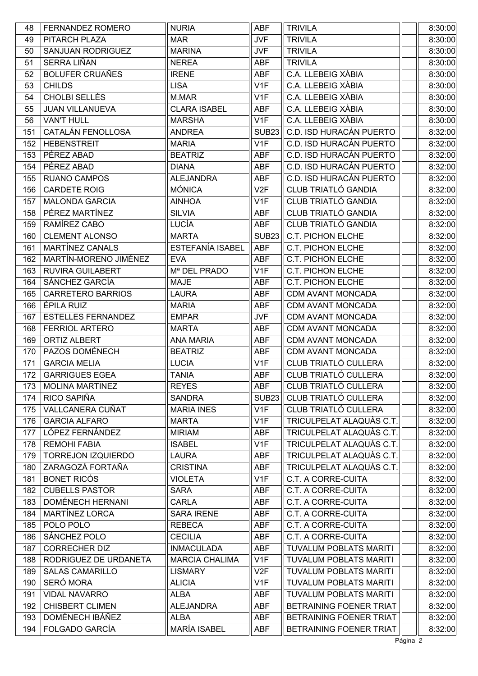| 48  | <b>FERNANDEZ ROMERO</b>   | <b>NURIA</b>            | ABF              | <b>TRIVILA</b>                | 8:30:00 |
|-----|---------------------------|-------------------------|------------------|-------------------------------|---------|
| 49  | PITARCH PLAZA             | <b>MAR</b>              | <b>JVF</b>       | <b>TRIVILA</b>                | 8:30:00 |
| 50  | <b>SANJUAN RODRIGUEZ</b>  | <b>MARINA</b>           | <b>JVF</b>       | <b>TRIVILA</b>                | 8:30:00 |
| 51  | SERRA LIÑAN               | <b>NEREA</b>            | ABF              | <b>TRIVILA</b>                | 8:30:00 |
| 52  | <b>BOLUFER CRUAÑES</b>    | <b>IRENE</b>            | <b>ABF</b>       | C.A. LLEBEIG XÀBIA            | 8:30:00 |
| 53  | <b>CHILDS</b>             | <b>LISA</b>             | V1F              | C.A. LLEBEIG XÀBIA            | 8:30:00 |
| 54  | CHOLBI SELLÉS             | M.MAR                   | V <sub>1</sub> F | C.A. LLEBEIG XÀBIA            | 8:30:00 |
| 55  | <b>JUAN VILLANUEVA</b>    | <b>CLARA ISABEL</b>     | <b>ABF</b>       | C.A. LLEBEIG XÀBIA            | 8:30:00 |
| 56  | <b>VAN'T HULL</b>         | <b>MARSHA</b>           | V <sub>1</sub> F | C.A. LLEBEIG XÀBIA            | 8:30:00 |
| 151 | CATALÁN FENOLLOSA         | <b>ANDREA</b>           | <b>SUB23</b>     | C.D. ISD HURACÁN PUERTO       | 8:32:00 |
| 152 | <b>HEBENSTREIT</b>        | <b>MARIA</b>            | V1F              | C.D. ISD HURACÁN PUERTO       | 8:32:00 |
| 153 | PÉREZ ABAD                | <b>BEATRIZ</b>          | <b>ABF</b>       | C.D. ISD HURACÁN PUERTO       | 8:32:00 |
| 154 | PÉREZ ABAD                | <b>DIANA</b>            | <b>ABF</b>       | C.D. ISD HURACÁN PUERTO       | 8:32:00 |
| 155 | <b>RUANO CAMPOS</b>       | <b>ALEJANDRA</b>        | <b>ABF</b>       | C.D. ISD HURACÁN PUERTO       | 8:32:00 |
| 156 | <b>CARDETE ROIG</b>       | <b>MÓNICA</b>           | V2F              | <b>CLUB TRIATLÓ GANDIA</b>    | 8:32:00 |
| 157 | <b>MALONDA GARCIA</b>     | <b>AINHOA</b>           | V1F              | CLUB TRIATLÓ GANDIA           | 8:32:00 |
| 158 | PÉREZ MARTÍNEZ            | <b>SILVIA</b>           | <b>ABF</b>       | CLUB TRIATLÓ GANDIA           | 8:32:00 |
| 159 | RAMÍREZ CABO              | LUCÍA                   | <b>ABF</b>       | <b>CLUB TRIATLÓ GANDIA</b>    | 8:32:00 |
| 160 | <b>CLEMENT ALONSO</b>     | <b>MARTA</b>            | <b>SUB23</b>     | <b>C.T. PICHON ELCHE</b>      | 8:32:00 |
| 161 | MARTÍNEZ CANALS           | <b>ESTEFANÍA ISABEL</b> | <b>ABF</b>       | C.T. PICHON ELCHE             | 8:32:00 |
| 162 | MARTÍN-MORENO JIMÉNEZ     | <b>EVA</b>              | ABF              | <b>C.T. PICHON ELCHE</b>      | 8:32:00 |
| 163 | <b>RUVIRA GUILABERT</b>   | Mª DEL PRADO            | V <sub>1</sub> F | C.T. PICHON ELCHE             | 8:32:00 |
| 164 | SÁNCHEZ GARCÍA            | <b>MAJE</b>             | ABF              | <b>C.T. PICHON ELCHE</b>      | 8:32:00 |
| 165 | <b>CARRETERO BARRIOS</b>  | <b>LAURA</b>            | <b>ABF</b>       | CDM AVANT MONCADA             | 8:32:00 |
| 166 | ÉPILA RUIZ                | <b>MARIA</b>            | <b>ABF</b>       | CDM AVANT MONCADA             | 8:32:00 |
| 167 | <b>ESTELLES FERNANDEZ</b> | <b>EMPAR</b>            | <b>JVF</b>       | CDM AVANT MONCADA             | 8:32:00 |
| 168 | <b>FERRIOL ARTERO</b>     | <b>MARTA</b>            | <b>ABF</b>       | CDM AVANT MONCADA             | 8:32:00 |
| 169 | <b>ORTIZ ALBERT</b>       | <b>ANA MARIA</b>        | <b>ABF</b>       | <b>CDM AVANT MONCADA</b>      | 8:32:00 |
| 170 | PAZOS DOMÉNECH            | <b>BEATRIZ</b>          | <b>ABF</b>       | CDM AVANT MONCADA             | 8:32:00 |
| 171 | <b>GARCIA MELIA</b>       | <b>LUCIA</b>            | V1F              | <b>CLUB TRIATLÓ CULLERA</b>   | 8:32:00 |
| 172 | <b>GARRIGUES EGEA</b>     | <b>TANIA</b>            | <b>ABF</b>       | <b>CLUB TRIATLO CULLERA</b>   | 8:32:00 |
| 173 | <b>MOLINA MARTINEZ</b>    | <b>REYES</b>            | <b>ABF</b>       | CLUB TRIATLÓ CULLERA          | 8:32:00 |
| 174 | RICO SAPIÑA               | <b>SANDRA</b>           | <b>SUB23</b>     | CLUB TRIATLÓ CULLERA          | 8:32:00 |
| 175 | VALLCANERA CUÑAT          | <b>MARIA INES</b>       | V1F              | CLUB TRIATLÓ CULLERA          | 8:32:00 |
| 176 | <b>GARCIA ALFARO</b>      | <b>MARTA</b>            | V1F              | TRICULPELAT ALAQUÀS C.T.      | 8:32:00 |
| 177 | LÓPEZ FERNÁNDEZ           | <b>MIRIAM</b>           | ABF              | TRICULPELAT ALAQUÀS C.T.      | 8:32:00 |
| 178 | <b>REMOHI FABIA</b>       | <b>ISABEL</b>           | V <sub>1</sub> F | TRICULPELAT ALAQUÀS C.T.      | 8:32:00 |
| 179 | <b>TORREJON IZQUIERDO</b> | <b>LAURA</b>            | ABF              | TRICULPELAT ALAQUÀS C.T.      | 8:32:00 |
| 180 | ZARAGOZÁ FORTAÑA          | <b>CRISTINA</b>         | ABF              | TRICULPELAT ALAQUÀS C.T.      | 8:32:00 |
| 181 | <b>BONET RICÓS</b>        | <b>VIOLETA</b>          | V1F              | C.T. A CORRE-CUITA            | 8:32:00 |
| 182 | <b>CUBELLS PASTOR</b>     | <b>SARA</b>             | ABF              | C.T. A CORRE-CUITA            | 8:32:00 |
| 183 | <b>DOMÉNECH HERNANI</b>   | <b>CARLA</b>            | ABF              | C.T. A CORRE-CUITA            | 8:32:00 |
| 184 | MARTÍNEZ LORCA            | <b>SARA IRENE</b>       | ABF              | C.T. A CORRE-CUITA            | 8:32:00 |
| 185 | POLO POLO                 | <b>REBECA</b>           | ABF              | C.T. A CORRE-CUITA            | 8:32:00 |
| 186 | SÁNCHEZ POLO              | <b>CECILIA</b>          | ABF              | C.T. A CORRE-CUITA            | 8:32:00 |
| 187 | <b>CORRECHER DIZ</b>      | <b>INMACULADA</b>       | ABF              | <b>TUVALUM POBLATS MARITI</b> | 8:32:00 |
| 188 | RODRIGUEZ DE URDANETA     | <b>MARCIA CHALIMA</b>   | V1F              | <b>TUVALUM POBLATS MARITI</b> | 8:32:00 |
| 189 | <b>SALAS CAMARILLO</b>    | <b>LISMARY</b>          | V2F              | <b>TUVALUM POBLATS MARITI</b> | 8:32:00 |
| 190 | SERÓ MORA                 | <b>ALICIA</b>           | V1F              | <b>TUVALUM POBLATS MARITI</b> | 8:32:00 |
| 191 | <b>VIDAL NAVARRO</b>      | ALBA                    | <b>ABF</b>       | <b>TUVALUM POBLATS MARITI</b> | 8:32:00 |
| 192 | <b>CHISBERT CLIMEN</b>    | <b>ALEJANDRA</b>        | ABF              | BETRAINING FOENER TRIAT       | 8:32:00 |
| 193 | DOMÉNECH IBÁÑEZ           | <b>ALBA</b>             | ABF              | BETRAINING FOENER TRIAT       | 8:32:00 |
| 194 | FOLGADO GARCÍA            | <b>MARÍA ISABEL</b>     | ABF              | BETRAINING FOENER TRIAT       | 8:32:00 |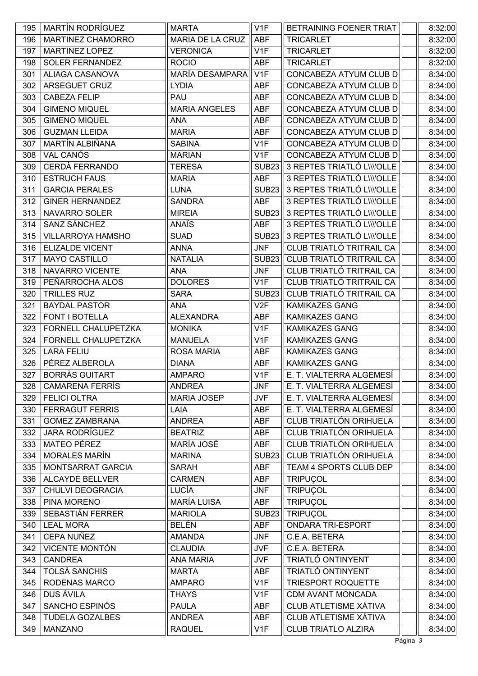| 195 | <b>MARTÍN RODRÍGUEZ</b>  | <b>MARTA</b>         | V <sub>1</sub> F  | BETRAINING FOENER TRIAT       | 8:32:00 |
|-----|--------------------------|----------------------|-------------------|-------------------------------|---------|
| 196 | MARTINEZ CHAMORRO        | MARIA DE LA CRUZ     | <b>ABF</b>        | <b>TRICARLET</b>              | 8:32:00 |
| 197 | <b>MARTINEZ LOPEZ</b>    | <b>VERONICA</b>      | V1F               | <b>TRICARLET</b>              | 8:32:00 |
| 198 | SOLER FERNANDEZ          | <b>ROCIO</b>         | <b>ABF</b>        | <b>TRICARLET</b>              | 8:32:00 |
| 301 | ALIAGA CASANOVA          | MARÍA DESAMPARA      | V1F               | CONCABEZA ATYUM CLUB D        | 8:34:00 |
| 302 | ARSEGUET CRUZ            | <b>LYDIA</b>         | ABF               | CONCABEZA ATYUM CLUB D        | 8:34:00 |
| 303 | <b>CABEZA FELIP</b>      | PAU                  | <b>ABF</b>        | CONCABEZA ATYUM CLUB D        | 8:34:00 |
| 304 | <b>GIMENO MIQUEL</b>     | <b>MARIA ANGELES</b> | ABF               | CONCABEZA ATYUM CLUB D        | 8:34:00 |
| 305 | <b>GIMENO MIQUEL</b>     | <b>ANA</b>           | <b>ABF</b>        | CONCABEZA ATYUM CLUB D        | 8:34:00 |
| 306 | <b>GUZMAN LLEIDA</b>     | <b>MARIA</b>         | ABF               | CONCABEZA ATYUM CLUB D        | 8:34:00 |
| 307 | MARTÍN ALBIÑANA          | <b>SABINA</b>        | V1F               | CONCABEZA ATYUM CLUB D        | 8:34:00 |
| 308 | VAL CANÓS                | <b>MARIAN</b>        | V <sub>1</sub> F  | CONCABEZA ATYUM CLUB D        | 8:34:00 |
| 309 | CERDÀ FERRANDO           | <b>TERESA</b>        | <b>SUB23</b>      | 3 REPTES TRIATLÓ L\\\'OLLE    | 8:34:00 |
| 310 | <b>ESTRUCH FAUS</b>      | <b>MARIA</b>         | <b>ABF</b>        | 3 REPTES TRIATLÓ L\\\'OLLE    | 8:34:00 |
| 311 | <b>GARCIA PERALES</b>    | <b>LUNA</b>          | <b>SUB23</b>      | 3 REPTES TRIATLÓ L\\\'OLLE    | 8:34:00 |
| 312 | <b>GINER HERNANDEZ</b>   | <b>SANDRA</b>        | <b>ABF</b>        | 3 REPTES TRIATLÓ L\\\'OLLE    | 8:34:00 |
| 313 | NAVARRO SOLER            | <b>MIREIA</b>        | <b>SUB23</b>      | 3 REPTES TRIATLÓ L\\\'OLLE    | 8:34:00 |
| 314 | SANZ SÁNCHEZ             | ANAÏS                | <b>ABF</b>        | 3 REPTES TRIATLÓ L\\\'OLLE    | 8:34:00 |
| 315 | <b>VILLARROYA HAMSHO</b> | <b>SUAD</b>          | SUB <sub>23</sub> | 3 REPTES TRIATLÓ L\\\'OLLE    | 8:34:00 |
| 316 | <b>ELIZALDE VICENT</b>   | <b>ANNA</b>          | <b>JNF</b>        | CLUB TRIATLÓ TRITRAIL CA      | 8:34:00 |
| 317 | <b>MAYO CASTILLO</b>     | <b>NATALIA</b>       | SUB <sub>23</sub> | CLUB TRIATLÓ TRITRAIL CA      | 8:34:00 |
| 318 | NAVARRO VICENTE          | <b>ANA</b>           | <b>JNF</b>        | CLUB TRIATLÓ TRITRAIL CA      | 8:34:00 |
| 319 | PEÑARROCHA ALOS          | <b>DOLORES</b>       | V <sub>1</sub> F  | CLUB TRIATLÓ TRITRAIL CA      | 8:34:00 |
| 320 | <b>TRILLES RUZ</b>       | <b>SARA</b>          | <b>SUB23</b>      | CLUB TRIATLÓ TRITRAIL CA      | 8:34:00 |
| 321 | <b>BAYDAL PASTOR</b>     | ANA                  | V2F               | <b>KAMIKAZES GANG</b>         | 8:34:00 |
| 322 | FONT I BOTELLA           | <b>ALEXANDRA</b>     | ABF               | <b>KAMIKAZES GANG</b>         | 8:34:00 |
| 323 | FORNELL CHALUPETZKA      | <b>MONIKA</b>        | V1F               | <b>KAMIKAZES GANG</b>         | 8:34:00 |
| 324 | FORNELL CHALUPETZKA      | <b>MANUELA</b>       | V1F               | <b>KAMIKAZES GANG</b>         | 8:34:00 |
| 325 | <b>LARA FELIU</b>        | <b>ROSA MARIA</b>    | <b>ABF</b>        | <b>KAMIKAZES GANG</b>         | 8:34:00 |
| 326 | PÉREZ ALBEROLA           | <b>DIANA</b>         | ABF               | <b>KAMIKAZES GANG</b>         | 8:34:00 |
| 327 | <b>BORRÀS GUITART</b>    | <b>AMPARO</b>        | V <sub>1</sub> F  | E. T. VIALTERRA ALGEMESÍ      | 8:34:00 |
| 328 | <b>CAMARENA FERRÍS</b>   | <b>ANDREA</b>        | <b>JNF</b>        | E. T. VIALTERRA ALGEMESÍ      | 8:34:00 |
| 329 | <b>FELICI OLTRA</b>      | <b>MARIA JOSEP</b>   | <b>JVF</b>        | E. T. VIALTERRA ALGEMESÍ      | 8:34:00 |
| 330 | <b>FERRAGUT FERRIS</b>   | LAIA                 | ABF               | E. T. VIALTERRA ALGEMESÍ      | 8:34:00 |
| 331 | <b>GOMEZ ZAMBRANA</b>    | <b>ANDREA</b>        | ABF               | <b>CLUB TRIATLÓN ORIHUELA</b> | 8:34:00 |
| 332 | <b>JARA RODRÍGUEZ</b>    | <b>BEATRIZ</b>       | ABF               | <b>CLUB TRIATLÓN ORIHUELA</b> | 8:34:00 |
| 333 | <b>MATEO PÉREZ</b>       | MARÍA JOSÉ           | <b>ABF</b>        | CLUB TRIATLÓN ORIHUELA        | 8:34:00 |
| 334 | <b>MORALES MARÍN</b>     | <b>MARINA</b>        | <b>SUB23</b>      | CLUB TRIATLÓN ORIHUELA        | 8:34:00 |
| 335 | MONTSARRAT GARCIA        | <b>SARAH</b>         | <b>ABF</b>        | TEAM 4 SPORTS CLUB DEP        | 8:34:00 |
| 336 | <b>ALCAYDE BELLVER</b>   | <b>CARMEN</b>        | ABF               | <b>TRIPUÇOL</b>               | 8:34:00 |
| 337 | CHULVI DEOGRACIA         | LUCÍA                | <b>JNF</b>        | <b>TRIPUÇOL</b>               | 8:34:00 |
| 338 | PINA MORENO              | <b>MARÍA LUISA</b>   | <b>ABF</b>        | <b>TRIPUÇOL</b>               | 8:34:00 |
| 339 | SEBASTIÁN FERRER         | <b>MARIOLA</b>       | <b>SUB23</b>      | <b>TRIPUÇOL</b>               | 8:34:00 |
| 340 | <b>LEAL MORA</b>         | <b>BELÉN</b>         | <b>ABF</b>        | ONDARA TRI-ESPORT             | 8:34:00 |
| 341 | CEPA NUÑEZ               | <b>AMANDA</b>        | <b>JNF</b>        | C.E.A. BETERA                 | 8:34:00 |
| 342 | <b>VICENTE MONTÓN</b>    | <b>CLAUDIA</b>       | <b>JVF</b>        | C.E.A. BETERA                 | 8:34:00 |
| 343 | <b>CANDREA</b>           | <b>ANA MARIA</b>     | <b>JVF</b>        | <b>TRIATLÓ ONTINYENT</b>      | 8:34:00 |
| 344 | <b>TOLSÀ SANCHIS</b>     | <b>MARTA</b>         | <b>ABF</b>        | TRIATLÓ ONTINYENT             | 8:34:00 |
| 345 | RODENAS MARCO            | <b>AMPARO</b>        | V <sub>1</sub> F  | TRIESPORT ROQUETTE            | 8:34:00 |
| 346 | DUS ÁVILA                | <b>THAYS</b>         | V1F               | CDM AVANT MONCADA             | 8:34:00 |
| 347 | SANCHO ESPINÓS           | <b>PAULA</b>         | ABF               | <b>CLUB ATLETISME XÁTIVA</b>  | 8:34:00 |
| 348 | <b>TUDELA GOZALBES</b>   | <b>ANDREA</b>        | <b>ABF</b>        | CLUB ATLETISME XÁTIVA         | 8:34:00 |
| 349 | <b>MANZANO</b>           | <b>RAQUEL</b>        | V <sub>1</sub> F  | CLUB TRIATLO ALZIRA           | 8:34:00 |
|     |                          |                      |                   |                               |         |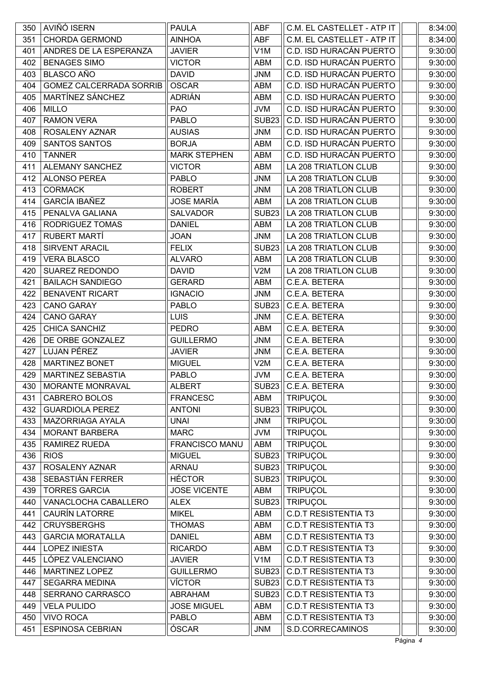| 350 | AVIÑÓ ISERN                    | <b>PAULA</b>          | ABF              | C.M. EL CASTELLET - ATP IT  | 8:34:00 |
|-----|--------------------------------|-----------------------|------------------|-----------------------------|---------|
| 351 | <b>CHORDA GERMOND</b>          | <b>AINHOA</b>         | <b>ABF</b>       | C.M. EL CASTELLET - ATP IT  | 8:34:00 |
| 401 | ANDRES DE LA ESPERANZA         | <b>JAVIER</b>         | V <sub>1</sub> M | C.D. ISD HURACÁN PUERTO     | 9:30:00 |
| 402 | <b>BENAGES SIMO</b>            | <b>VICTOR</b>         | <b>ABM</b>       | C.D. ISD HURACÁN PUERTO     | 9:30:00 |
| 403 | <b>BLASCO AÑO</b>              | <b>DAVID</b>          | <b>JNM</b>       | C.D. ISD HURACÁN PUERTO     | 9:30:00 |
| 404 | <b>GOMEZ CALCERRADA SORRIB</b> | <b>OSCAR</b>          | ABM              | C.D. ISD HURACÁN PUERTO     | 9:30:00 |
| 405 | MARTÍNEZ SÁNCHEZ               | <b>ADRIÁN</b>         | ABM              | C.D. ISD HURACÁN PUERTO     | 9:30:00 |
| 406 | <b>MILLO</b>                   | <b>PAO</b>            | <b>JVM</b>       | C.D. ISD HURACÁN PUERTO     | 9:30:00 |
| 407 | <b>RAMON VERA</b>              | <b>PABLO</b>          | <b>SUB23</b>     | C.D. ISD HURACÁN PUERTO     | 9:30:00 |
| 408 | ROSALENY AZNAR                 | <b>AUSIAS</b>         | <b>JNM</b>       | C.D. ISD HURACÁN PUERTO     | 9:30:00 |
| 409 | SANTOS SANTOS                  | <b>BORJA</b>          | ABM              | C.D. ISD HURACÁN PUERTO     | 9:30:00 |
| 410 | <b>TANNER</b>                  | <b>MARK STEPHEN</b>   | ABM              | C.D. ISD HURACÁN PUERTO     | 9:30:00 |
| 411 | <b>ALEMANY SANCHEZ</b>         | <b>VICTOR</b>         | ABM              | LA 208 TRIATLON CLUB        | 9:30:00 |
| 412 | <b>ALONSO PEREA</b>            | PABLO                 | <b>JNM</b>       | LA 208 TRIATLON CLUB        | 9:30:00 |
| 413 | <b>CORMACK</b>                 | <b>ROBERT</b>         | <b>JNM</b>       | <b>LA 208 TRIATLON CLUB</b> | 9:30:00 |
| 414 | <b>GARCÍA IBAÑEZ</b>           | JOSE MARÍA            | ABM              | <b>LA 208 TRIATLON CLUB</b> | 9:30:00 |
| 415 | PENALVA GALIANA                | <b>SALVADOR</b>       | <b>SUB23</b>     | LA 208 TRIATLON CLUB        | 9:30:00 |
| 416 | RODRIGUEZ TOMAS                | <b>DANIEL</b>         | ABM              | LA 208 TRIATLON CLUB        | 9:30:00 |
| 417 | RUBERT MARTÍ                   | <b>JOAN</b>           | <b>JNM</b>       | LA 208 TRIATLON CLUB        | 9:30:00 |
| 418 | <b>SIRVENT ARACIL</b>          | <b>FELIX</b>          | <b>SUB23</b>     | LA 208 TRIATLON CLUB        | 9:30:00 |
| 419 | <b>VERA BLASCO</b>             | <b>ALVARO</b>         | ABM              | LA 208 TRIATLON CLUB        | 9:30:00 |
| 420 | <b>SUAREZ REDONDO</b>          | <b>DAVID</b>          | V2M              | LA 208 TRIATLON CLUB        | 9:30:00 |
| 421 | <b>BAILACH SANDIEGO</b>        | <b>GERARD</b>         | ABM              | C.E.A. BETERA               | 9:30:00 |
| 422 | <b>BENAVENT RICART</b>         | <b>IGNACIO</b>        | <b>JNM</b>       | C.E.A. BETERA               | 9:30:00 |
| 423 | <b>CANO GARAY</b>              | <b>PABLO</b>          | <b>SUB23</b>     | C.E.A. BETERA               | 9:30:00 |
| 424 | <b>CANO GARAY</b>              | <b>LUIS</b>           | <b>JNM</b>       | C.E.A. BETERA               | 9:30:00 |
| 425 | CHICA SANCHIZ                  | <b>PEDRO</b>          | ABM              | C.E.A. BETERA               | 9:30:00 |
| 426 | DE ORBE GONZALEZ               | <b>GUILLERMO</b>      | <b>JNM</b>       | C.E.A. BETERA               | 9:30:00 |
| 427 | LUJAN PÉREZ                    | <b>JAVIER</b>         | <b>JNM</b>       | C.E.A. BETERA               | 9:30:00 |
| 428 | <b>MARTINEZ BONET</b>          | <b>MIGUEL</b>         | V2M              | C.E.A. BETERA               | 9:30:00 |
| 429 | <b>MARTINEZ SEBASTIA</b>       | <b>PABLO</b>          | <b>JVM</b>       | C.E.A. BETERA               | 9:30:00 |
| 430 | MORANTE MONRAVAL               | <b>ALBERT</b>         |                  | SUB23   C.E.A. BETERA       | 9:30:00 |
| 431 | <b>CABRERO BOLOS</b>           | <b>FRANCESC</b>       | ABM              | <b>TRIPUÇOL</b>             | 9:30:00 |
| 432 | <b>GUARDIOLA PEREZ</b>         | <b>ANTONI</b>         | <b>SUB23</b>     | <b>TRIPUÇOL</b>             | 9:30:00 |
| 433 | MAZORRIAGA AYALA               | <b>UNAI</b>           | <b>JNM</b>       | <b>TRIPUÇOL</b>             | 9:30:00 |
| 434 | <b>MORANT BARBERA</b>          | <b>MARC</b>           | <b>JVM</b>       | <b>TRIPUÇOL</b>             | 9:30:00 |
| 435 | RAMIREZ RUEDA                  | <b>FRANCISCO MANU</b> | ABM              | <b>TRIPUÇOL</b>             | 9:30:00 |
| 436 | <b>RIOS</b>                    | <b>MIGUEL</b>         | <b>SUB23</b>     | <b>TRIPUÇOL</b>             | 9:30:00 |
| 437 | ROSALENY AZNAR                 | <b>ARNAU</b>          | <b>SUB23</b>     | <b>TRIPUÇOL</b>             | 9:30:00 |
| 438 | SEBASTIÁN FERRER               | <b>HÉCTOR</b>         | <b>SUB23</b>     | <b>TRIPUÇOL</b>             | 9:30:00 |
| 439 | <b>TORRES GARCIA</b>           | <b>JOSE VICENTE</b>   | ABM              | <b>TRIPUÇOL</b>             | 9:30:00 |
| 440 | VANACLOCHA CABALLERO           | <b>ALEX</b>           | <b>SUB23</b>     | <b>TRIPUÇOL</b>             | 9:30:00 |
| 441 | CAURÍN LATORRE                 | <b>MIKEL</b>          | ABM              | <b>C.D.T RESISTENTIA T3</b> | 9:30:00 |
| 442 | <b>CRUYSBERGHS</b>             | <b>THOMAS</b>         | ABM              | <b>C.D.T RESISTENTIA T3</b> | 9:30:00 |
| 443 | <b>GARCIA MORATALLA</b>        | <b>DANIEL</b>         | ABM              | <b>C.D.T RESISTENTIA T3</b> | 9:30:00 |
| 444 | <b>LOPEZ INIESTA</b>           | <b>RICARDO</b>        | ABM              | <b>C.D.T RESISTENTIA T3</b> | 9:30:00 |
| 445 | LÓPEZ VALENCIANO               | <b>JAVIER</b>         | V <sub>1</sub> M | <b>C.D.T RESISTENTIA T3</b> | 9:30:00 |
| 446 | MARTINEZ LOPEZ                 | <b>GUILLERMO</b>      | <b>SUB23</b>     | <b>C.D.T RESISTENTIA T3</b> | 9:30:00 |
| 447 | <b>SEGARRA MEDINA</b>          | <b>VÍCTOR</b>         | <b>SUB23</b>     | <b>C.D.T RESISTENTIA T3</b> | 9:30:00 |
| 448 | SERRANO CARRASCO               | <b>ABRAHAM</b>        | <b>SUB23</b>     | <b>C.D.T RESISTENTIA T3</b> | 9:30:00 |
| 449 | <b>VELA PULIDO</b>             | <b>JOSE MIGUEL</b>    | ABM              | <b>C.D.T RESISTENTIA T3</b> | 9:30:00 |
| 450 | <b>VIVO ROCA</b>               | <b>PABLO</b>          | ABM              | <b>C.D.T RESISTENTIA T3</b> | 9:30:00 |
| 451 | <b>ESPINOSA CEBRIAN</b>        | ÓSCAR                 | <b>JNM</b>       | S.D.CORRECAMINOS            | 9:30:00 |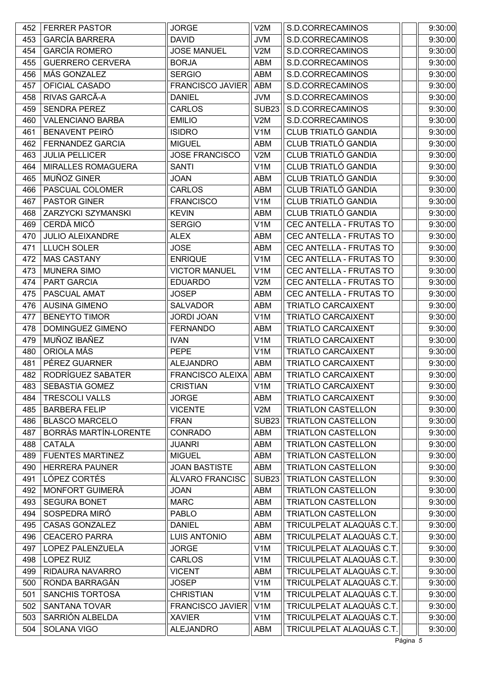| <b>GARCÍA BARRERA</b><br><b>DAVID</b><br>9:30:00<br>453<br><b>JVM</b><br>S.D.CORRECAMINOS<br><b>GARCÍA ROMERO</b><br>454<br><b>JOSE MANUEL</b><br>V2M<br>S.D.CORRECAMINOS<br>9:30:00<br>455<br><b>GUERRERO CERVERA</b><br><b>BORJA</b><br>S.D.CORRECAMINOS<br>9:30:00<br>ABM<br>MÁS GONZALEZ<br>ABM<br>S.D.CORRECAMINOS<br>9:30:00<br>456<br><b>SERGIO</b><br>OFICIAL CASADO<br><b>FRANCISCO JAVIER</b><br><b>ABM</b><br>9:30:00<br>457<br>S.D.CORRECAMINOS<br>RIVAS GARCÃ-A<br>9:30:00<br>458<br><b>DANIEL</b><br><b>JVM</b><br>S.D.CORRECAMINOS<br><b>SENDRA PEREZ</b><br><b>CARLOS</b><br><b>SUB23</b><br>S.D.CORRECAMINOS<br>9:30:00<br>459<br><b>VALENCIANO BARBA</b><br>V2M<br>S.D.CORRECAMINOS<br>9:30:00<br>460<br><b>EMILIO</b><br><b>CLUB TRIATLÓ GANDIA</b><br><b>BENAVENT PEIRÓ</b><br>V <sub>1</sub> M<br>9:30:00<br>461<br><b>ISIDRO</b><br>CLUB TRIATLÓ GANDIA<br>462<br>FERNANDEZ GARCIA<br>9:30:00<br><b>MIGUEL</b><br>ABM<br><b>CLUB TRIATLÓ GANDIA</b><br>9:30:00<br><b>JULIA PELLICER</b><br><b>JOSE FRANCISCO</b><br>V2M<br>463<br>CLUB TRIATLÓ GANDIA<br><b>MIRALLES ROMAGUERA</b><br><b>SANTI</b><br>V <sub>1</sub> M<br>9:30:00<br>464<br><b>CLUB TRIATLÓ GANDIA</b><br>MUÑOZ GINER<br>9:30:00<br>465<br><b>JOAN</b><br>ABM |
|-----------------------------------------------------------------------------------------------------------------------------------------------------------------------------------------------------------------------------------------------------------------------------------------------------------------------------------------------------------------------------------------------------------------------------------------------------------------------------------------------------------------------------------------------------------------------------------------------------------------------------------------------------------------------------------------------------------------------------------------------------------------------------------------------------------------------------------------------------------------------------------------------------------------------------------------------------------------------------------------------------------------------------------------------------------------------------------------------------------------------------------------------------------------------------------------------------------------------------------------------------|
|                                                                                                                                                                                                                                                                                                                                                                                                                                                                                                                                                                                                                                                                                                                                                                                                                                                                                                                                                                                                                                                                                                                                                                                                                                                     |
|                                                                                                                                                                                                                                                                                                                                                                                                                                                                                                                                                                                                                                                                                                                                                                                                                                                                                                                                                                                                                                                                                                                                                                                                                                                     |
|                                                                                                                                                                                                                                                                                                                                                                                                                                                                                                                                                                                                                                                                                                                                                                                                                                                                                                                                                                                                                                                                                                                                                                                                                                                     |
|                                                                                                                                                                                                                                                                                                                                                                                                                                                                                                                                                                                                                                                                                                                                                                                                                                                                                                                                                                                                                                                                                                                                                                                                                                                     |
|                                                                                                                                                                                                                                                                                                                                                                                                                                                                                                                                                                                                                                                                                                                                                                                                                                                                                                                                                                                                                                                                                                                                                                                                                                                     |
|                                                                                                                                                                                                                                                                                                                                                                                                                                                                                                                                                                                                                                                                                                                                                                                                                                                                                                                                                                                                                                                                                                                                                                                                                                                     |
|                                                                                                                                                                                                                                                                                                                                                                                                                                                                                                                                                                                                                                                                                                                                                                                                                                                                                                                                                                                                                                                                                                                                                                                                                                                     |
|                                                                                                                                                                                                                                                                                                                                                                                                                                                                                                                                                                                                                                                                                                                                                                                                                                                                                                                                                                                                                                                                                                                                                                                                                                                     |
|                                                                                                                                                                                                                                                                                                                                                                                                                                                                                                                                                                                                                                                                                                                                                                                                                                                                                                                                                                                                                                                                                                                                                                                                                                                     |
|                                                                                                                                                                                                                                                                                                                                                                                                                                                                                                                                                                                                                                                                                                                                                                                                                                                                                                                                                                                                                                                                                                                                                                                                                                                     |
|                                                                                                                                                                                                                                                                                                                                                                                                                                                                                                                                                                                                                                                                                                                                                                                                                                                                                                                                                                                                                                                                                                                                                                                                                                                     |
|                                                                                                                                                                                                                                                                                                                                                                                                                                                                                                                                                                                                                                                                                                                                                                                                                                                                                                                                                                                                                                                                                                                                                                                                                                                     |
|                                                                                                                                                                                                                                                                                                                                                                                                                                                                                                                                                                                                                                                                                                                                                                                                                                                                                                                                                                                                                                                                                                                                                                                                                                                     |
| <b>CLUB TRIATLÓ GANDIA</b><br>PASCUAL COLOMER<br>CARLOS<br><b>ABM</b><br>9:30:00<br>466                                                                                                                                                                                                                                                                                                                                                                                                                                                                                                                                                                                                                                                                                                                                                                                                                                                                                                                                                                                                                                                                                                                                                             |
| CLUB TRIATLÓ GANDIA<br>467<br><b>PASTOR GINER</b><br><b>FRANCISCO</b><br>V <sub>1</sub> M<br>9:30:00                                                                                                                                                                                                                                                                                                                                                                                                                                                                                                                                                                                                                                                                                                                                                                                                                                                                                                                                                                                                                                                                                                                                                |
| CLUB TRIATLÓ GANDIA<br>9:30:00<br>ZARZYCKI SZYMANSKI<br><b>KEVIN</b><br>468<br>ABM                                                                                                                                                                                                                                                                                                                                                                                                                                                                                                                                                                                                                                                                                                                                                                                                                                                                                                                                                                                                                                                                                                                                                                  |
| CERDÀ MICÓ<br><b>SERGIO</b><br>V <sub>1</sub> M<br>CEC ANTELLA - FRUTAS TO<br>9:30:00<br>469                                                                                                                                                                                                                                                                                                                                                                                                                                                                                                                                                                                                                                                                                                                                                                                                                                                                                                                                                                                                                                                                                                                                                        |
| <b>JULIO ALEIXANDRE</b><br>CEC ANTELLA - FRUTAS TO<br>9:30:00<br>470<br><b>ALEX</b><br>ABM                                                                                                                                                                                                                                                                                                                                                                                                                                                                                                                                                                                                                                                                                                                                                                                                                                                                                                                                                                                                                                                                                                                                                          |
| CEC ANTELLA - FRUTAS TO<br>471<br><b>LLUCH SOLER</b><br><b>JOSE</b><br><b>ABM</b><br>9:30:00                                                                                                                                                                                                                                                                                                                                                                                                                                                                                                                                                                                                                                                                                                                                                                                                                                                                                                                                                                                                                                                                                                                                                        |
| <b>MAS CASTANY</b><br>V <sub>1</sub> M<br>CEC ANTELLA - FRUTAS TO<br>9:30:00<br>472<br><b>ENRIQUE</b>                                                                                                                                                                                                                                                                                                                                                                                                                                                                                                                                                                                                                                                                                                                                                                                                                                                                                                                                                                                                                                                                                                                                               |
| 9:30:00<br>473<br><b>MUNERA SIMO</b><br><b>VICTOR MANUEL</b><br>V <sub>1</sub> M<br>CEC ANTELLA - FRUTAS TO                                                                                                                                                                                                                                                                                                                                                                                                                                                                                                                                                                                                                                                                                                                                                                                                                                                                                                                                                                                                                                                                                                                                         |
| PART GARCIA<br><b>EDUARDO</b><br>V2M<br>CEC ANTELLA - FRUTAS TO<br>9:30:00<br>474                                                                                                                                                                                                                                                                                                                                                                                                                                                                                                                                                                                                                                                                                                                                                                                                                                                                                                                                                                                                                                                                                                                                                                   |
| PASCUAL AMAT<br>9:30:00<br>475<br><b>JOSEP</b><br>ABM<br>CEC ANTELLA - FRUTAS TO                                                                                                                                                                                                                                                                                                                                                                                                                                                                                                                                                                                                                                                                                                                                                                                                                                                                                                                                                                                                                                                                                                                                                                    |
| <b>AUSINA GIMENO</b><br><b>TRIATLO CARCAIXENT</b><br>9:30:00<br>476<br><b>SALVADOR</b><br>ABM                                                                                                                                                                                                                                                                                                                                                                                                                                                                                                                                                                                                                                                                                                                                                                                                                                                                                                                                                                                                                                                                                                                                                       |
| <b>TRIATLO CARCAIXENT</b><br>9:30:00<br>477<br><b>BENEYTO TIMOR</b><br><b>JORDI JOAN</b><br>V <sub>1</sub> M                                                                                                                                                                                                                                                                                                                                                                                                                                                                                                                                                                                                                                                                                                                                                                                                                                                                                                                                                                                                                                                                                                                                        |
| 9:30:00<br>478<br>DOMINGUEZ GIMENO<br><b>FERNANDO</b><br><b>TRIATLO CARCAIXENT</b><br>ABM                                                                                                                                                                                                                                                                                                                                                                                                                                                                                                                                                                                                                                                                                                                                                                                                                                                                                                                                                                                                                                                                                                                                                           |
| MUÑOZ IBAÑEZ<br><b>IVAN</b><br>V <sub>1</sub> M<br><b>TRIATLO CARCAIXENT</b><br>9:30:00<br>479                                                                                                                                                                                                                                                                                                                                                                                                                                                                                                                                                                                                                                                                                                                                                                                                                                                                                                                                                                                                                                                                                                                                                      |
| ORIOLA MÁS<br>V <sub>1</sub> M<br><b>TRIATLO CARCAIXENT</b><br>9:30:00<br>480<br><b>PEPE</b>                                                                                                                                                                                                                                                                                                                                                                                                                                                                                                                                                                                                                                                                                                                                                                                                                                                                                                                                                                                                                                                                                                                                                        |
| PÉREZ GUARNER<br>481<br><b>ALEJANDRO</b><br>ABM<br><b>TRIATLO CARCAIXENT</b><br>9:30:00                                                                                                                                                                                                                                                                                                                                                                                                                                                                                                                                                                                                                                                                                                                                                                                                                                                                                                                                                                                                                                                                                                                                                             |
| RODRÍGUEZ SABATER<br>482<br><b>FRANCISCO ALEIXA</b><br><b>ABM</b><br><b>TRIATLO CARCAIXENT</b><br>9:30:00                                                                                                                                                                                                                                                                                                                                                                                                                                                                                                                                                                                                                                                                                                                                                                                                                                                                                                                                                                                                                                                                                                                                           |
| <b>CRISTIAN</b><br>9:30:00<br><b>SEBASTIA GOMEZ</b><br>V <sub>1</sub> M<br><b>TRIATLO CARCAIXENT</b><br>483                                                                                                                                                                                                                                                                                                                                                                                                                                                                                                                                                                                                                                                                                                                                                                                                                                                                                                                                                                                                                                                                                                                                         |
| 484<br><b>TRESCOLI VALLS</b><br><b>JORGE</b><br>ABM<br><b>TRIATLO CARCAIXENT</b><br>9:30:00                                                                                                                                                                                                                                                                                                                                                                                                                                                                                                                                                                                                                                                                                                                                                                                                                                                                                                                                                                                                                                                                                                                                                         |
| <b>VICENTE</b><br>9:30:00<br>485<br><b>BARBERA FELIP</b><br>V2M<br>TRIATLON CASTELLON                                                                                                                                                                                                                                                                                                                                                                                                                                                                                                                                                                                                                                                                                                                                                                                                                                                                                                                                                                                                                                                                                                                                                               |
| <b>BLASCO MARCELO</b><br>TRIATLON CASTELLON<br>9:30:00<br>486<br><b>FRAN</b><br>SUB <sub>23</sub>                                                                                                                                                                                                                                                                                                                                                                                                                                                                                                                                                                                                                                                                                                                                                                                                                                                                                                                                                                                                                                                                                                                                                   |
| BORRÀS MARTÍN-LORENTE<br><b>TRIATLON CASTELLON</b><br>9:30:00<br>487<br><b>CONRADO</b><br>ABM                                                                                                                                                                                                                                                                                                                                                                                                                                                                                                                                                                                                                                                                                                                                                                                                                                                                                                                                                                                                                                                                                                                                                       |
| <b>CATALA</b><br><b>TRIATLON CASTELLON</b><br>9:30:00<br>488<br><b>JUANRI</b><br>ABM                                                                                                                                                                                                                                                                                                                                                                                                                                                                                                                                                                                                                                                                                                                                                                                                                                                                                                                                                                                                                                                                                                                                                                |
| 489<br><b>FUENTES MARTINEZ</b><br><b>MIGUEL</b><br>ABM<br>TRIATLON CASTELLON<br>9:30:00                                                                                                                                                                                                                                                                                                                                                                                                                                                                                                                                                                                                                                                                                                                                                                                                                                                                                                                                                                                                                                                                                                                                                             |
| <b>JOAN BASTISTE</b><br>TRIATLON CASTELLON<br>9:30:00<br>490<br><b>HERRERA PAUNER</b><br>ABM                                                                                                                                                                                                                                                                                                                                                                                                                                                                                                                                                                                                                                                                                                                                                                                                                                                                                                                                                                                                                                                                                                                                                        |
| LÓPEZ CORTÉS<br>ÁLVARO FRANCISC<br><b>SUB23</b><br>TRIATLON CASTELLON<br>9:30:00<br>491                                                                                                                                                                                                                                                                                                                                                                                                                                                                                                                                                                                                                                                                                                                                                                                                                                                                                                                                                                                                                                                                                                                                                             |
| MONFORT GUIMERÀ<br><b>TRIATLON CASTELLON</b><br>9:30:00<br>492<br><b>JOAN</b><br>ABM                                                                                                                                                                                                                                                                                                                                                                                                                                                                                                                                                                                                                                                                                                                                                                                                                                                                                                                                                                                                                                                                                                                                                                |
| <b>SEGURA BONET</b><br><b>MARC</b><br><b>TRIATLON CASTELLON</b><br>9:30:00<br>493<br>ABM                                                                                                                                                                                                                                                                                                                                                                                                                                                                                                                                                                                                                                                                                                                                                                                                                                                                                                                                                                                                                                                                                                                                                            |
| 494<br>SOSPEDRA MIRÓ<br>ABM<br><b>TRIATLON CASTELLON</b><br>9:30:00<br><b>PABLO</b>                                                                                                                                                                                                                                                                                                                                                                                                                                                                                                                                                                                                                                                                                                                                                                                                                                                                                                                                                                                                                                                                                                                                                                 |
| TRICULPELAT ALAQUÀS C.T.<br><b>CASAS GONZALEZ</b><br>9:30:00<br>495<br><b>DANIEL</b><br>ABM                                                                                                                                                                                                                                                                                                                                                                                                                                                                                                                                                                                                                                                                                                                                                                                                                                                                                                                                                                                                                                                                                                                                                         |
| TRICULPELAT ALAQUÀS C.T.<br><b>CEACERO PARRA</b><br><b>LUIS ANTONIO</b><br>9:30:00<br>496<br><b>ABM</b>                                                                                                                                                                                                                                                                                                                                                                                                                                                                                                                                                                                                                                                                                                                                                                                                                                                                                                                                                                                                                                                                                                                                             |
| TRICULPELAT ALAQUÀS C.T.<br>LOPEZ PALENZUELA<br><b>JORGE</b><br>V <sub>1</sub> M<br>9:30:00<br>497                                                                                                                                                                                                                                                                                                                                                                                                                                                                                                                                                                                                                                                                                                                                                                                                                                                                                                                                                                                                                                                                                                                                                  |
| TRICULPELAT ALAQUÀS C.T.<br><b>LOPEZ RUIZ</b><br><b>CARLOS</b><br>9:30:00<br>498<br>V <sub>1</sub> M                                                                                                                                                                                                                                                                                                                                                                                                                                                                                                                                                                                                                                                                                                                                                                                                                                                                                                                                                                                                                                                                                                                                                |
| TRICULPELAT ALAQUÀS C.T.<br>RIDAURA NAVARRO<br>ABM<br>9:30:00<br>499<br><b>VICENT</b>                                                                                                                                                                                                                                                                                                                                                                                                                                                                                                                                                                                                                                                                                                                                                                                                                                                                                                                                                                                                                                                                                                                                                               |
| TRICULPELAT ALAQUÀS C.T.<br>RONDA BARRAGÁN<br><b>JOSEP</b><br>V <sub>1</sub> M<br>9:30:00<br>500                                                                                                                                                                                                                                                                                                                                                                                                                                                                                                                                                                                                                                                                                                                                                                                                                                                                                                                                                                                                                                                                                                                                                    |
| TRICULPELAT ALAQUÀS C.T.<br><b>SANCHIS TORTOSA</b><br><b>CHRISTIAN</b><br>V <sub>1</sub> M<br>9:30:00<br>501                                                                                                                                                                                                                                                                                                                                                                                                                                                                                                                                                                                                                                                                                                                                                                                                                                                                                                                                                                                                                                                                                                                                        |
| TRICULPELAT ALAQUÀS C.T.<br>SANTANA TOVAR<br><b>FRANCISCO JAVIER</b><br>9:30:00<br>502<br>V <sub>1</sub> M                                                                                                                                                                                                                                                                                                                                                                                                                                                                                                                                                                                                                                                                                                                                                                                                                                                                                                                                                                                                                                                                                                                                          |
| SARRIÓN ALBELDA<br>TRICULPELAT ALAQUÀS C.T.<br><b>XAVIER</b><br>9:30:00<br>503<br>V <sub>1</sub> M                                                                                                                                                                                                                                                                                                                                                                                                                                                                                                                                                                                                                                                                                                                                                                                                                                                                                                                                                                                                                                                                                                                                                  |
| TRICULPELAT ALAQUÀS C.T.<br>504<br>SOLANA VIGO<br><b>ALEJANDRO</b><br>9:30:00<br>ABM                                                                                                                                                                                                                                                                                                                                                                                                                                                                                                                                                                                                                                                                                                                                                                                                                                                                                                                                                                                                                                                                                                                                                                |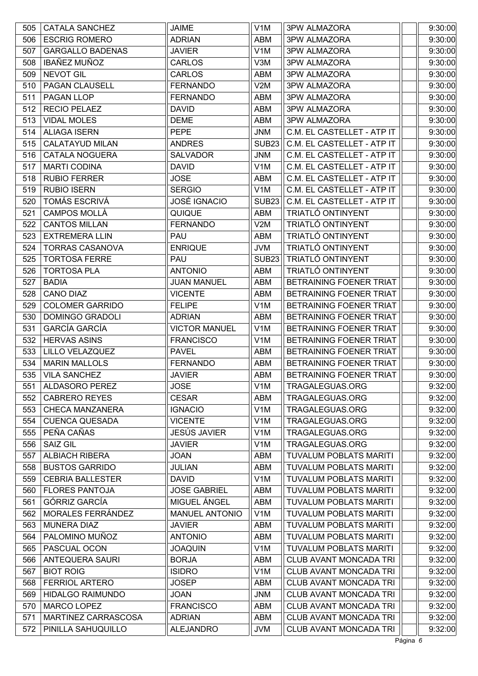| 505 | <b>CATALA SANCHEZ</b>   | <b>JAIME</b>          | V <sub>1</sub> M  | <b>3PW ALMAZORA</b>           | 9:30:00 |
|-----|-------------------------|-----------------------|-------------------|-------------------------------|---------|
| 506 | <b>ESCRIG ROMERO</b>    | <b>ADRIAN</b>         | ABM               | 3PW ALMAZORA                  | 9:30:00 |
| 507 | <b>GARGALLO BADENAS</b> | <b>JAVIER</b>         | V <sub>1</sub> M  | <b>3PW ALMAZORA</b>           | 9:30:00 |
| 508 | <b>IBAÑEZ MUÑOZ</b>     | <b>CARLOS</b>         | V3M               | <b>3PW ALMAZORA</b>           | 9:30:00 |
| 509 | NEVOT GIL               | <b>CARLOS</b>         | ABM               | <b>3PW ALMAZORA</b>           | 9:30:00 |
| 510 | PAGAN CLAUSELL          | <b>FERNANDO</b>       | V2M               | 3PW ALMAZORA                  | 9:30:00 |
| 511 | PAGAN LLOP              | <b>FERNANDO</b>       | ABM               | 3PW ALMAZORA                  | 9:30:00 |
| 512 | <b>RECIO PELAEZ</b>     | <b>DAVID</b>          | ABM               | <b>3PW ALMAZORA</b>           | 9:30:00 |
| 513 | <b>VIDAL MOLES</b>      | <b>DEME</b>           | ABM               | 3PW ALMAZORA                  | 9:30:00 |
| 514 | <b>ALIAGA ISERN</b>     | <b>PEPE</b>           | <b>JNM</b>        | C.M. EL CASTELLET - ATP IT    | 9:30:00 |
| 515 | <b>CALATAYUD MILAN</b>  | <b>ANDRES</b>         | SUB <sub>23</sub> | C.M. EL CASTELLET - ATP IT    | 9:30:00 |
| 516 | <b>CATALA NOGUERA</b>   | <b>SALVADOR</b>       | <b>JNM</b>        | C.M. EL CASTELLET - ATP IT    | 9:30:00 |
| 517 | <b>MARTI CODINA</b>     | <b>DAVID</b>          | V <sub>1</sub> M  | C.M. EL CASTELLET - ATP IT    | 9:30:00 |
| 518 | <b>RUBIO FERRER</b>     | <b>JOSE</b>           | ABM               | C.M. EL CASTELLET - ATP IT    | 9:30:00 |
| 519 | <b>RUBIO ISERN</b>      | <b>SERGIO</b>         | V <sub>1</sub> M  | C.M. EL CASTELLET - ATP IT    | 9:30:00 |
| 520 | <b>TOMÁS ESCRIVÁ</b>    | <b>JOSÉ IGNACIO</b>   | SUB <sub>23</sub> | C.M. EL CASTELLET - ATP IT    | 9:30:00 |
| 521 | CAMPOS MOLLÀ            | QUIQUE                | ABM               | TRIATLÓ ONTINYENT             | 9:30:00 |
| 522 | <b>CANTOS MILLAN</b>    | <b>FERNANDO</b>       | V2M               | TRIATLÓ ONTINYENT             | 9:30:00 |
| 523 | <b>EXTREMERA LLIN</b>   | <b>PAU</b>            | ABM               | TRIATLÓ ONTINYENT             | 9:30:00 |
| 524 | <b>TORRAS CASANOVA</b>  | <b>ENRIQUE</b>        | <b>JVM</b>        | TRIATLÓ ONTINYENT             | 9:30:00 |
| 525 | <b>TORTOSA FERRE</b>    | <b>PAU</b>            | SUB <sub>23</sub> | TRIATLÓ ONTINYENT             | 9:30:00 |
| 526 | <b>TORTOSA PLA</b>      | <b>ANTONIO</b>        | ABM               | TRIATLÓ ONTINYENT             | 9:30:00 |
| 527 | <b>BADIA</b>            | <b>JUAN MANUEL</b>    | ABM               | BETRAINING FOENER TRIAT       | 9:30:00 |
| 528 | <b>CANO DIAZ</b>        | <b>VICENTE</b>        | ABM               | BETRAINING FOENER TRIAT       | 9:30:00 |
| 529 | <b>COLOMER GARRIDO</b>  | <b>FELIPE</b>         | V <sub>1</sub> M  | BETRAINING FOENER TRIAT       | 9:30:00 |
| 530 | <b>DOMINGO GRADOLI</b>  | <b>ADRIAN</b>         | ABM               | BETRAINING FOENER TRIAT       | 9:30:00 |
| 531 | <b>GARCÍA GARCÍA</b>    | <b>VICTOR MANUEL</b>  | V <sub>1</sub> M  | BETRAINING FOENER TRIAT       | 9:30:00 |
| 532 | <b>HERVAS ASINS</b>     | <b>FRANCISCO</b>      | V <sub>1</sub> M  | BETRAINING FOENER TRIAT       | 9:30:00 |
| 533 | LILLO VELAZQUEZ         | <b>PAVEL</b>          | ABM               | BETRAINING FOENER TRIAT       | 9:30:00 |
| 534 | <b>MARIN MALLOLS</b>    | <b>FERNANDO</b>       | ABM               | BETRAINING FOENER TRIAT       | 9:30:00 |
| 535 | <b>VILA SANCHEZ</b>     | <b>JAVIER</b>         | ABM               | BETRAINING FOENER TRIAT       | 9:30:00 |
| 551 | ALDASORO PEREZ          | <b>JOSE</b>           | V <sub>1</sub> M  | TRAGALEGUAS.ORG               | 9:32:00 |
| 552 | <b>CABRERO REYES</b>    | <b>CESAR</b>          | ABM               | TRAGALEGUAS.ORG               | 9:32:00 |
| 553 | <b>CHECA MANZANERA</b>  | <b>IGNACIO</b>        | V <sub>1</sub> M  | TRAGALEGUAS.ORG               | 9:32:00 |
| 554 | <b>CUENCA QUESADA</b>   | <b>VICENTE</b>        | V <sub>1</sub> M  | TRAGALEGUAS.ORG               | 9:32:00 |
| 555 | PEÑA CAÑAS              | <b>JESÚS JAVIER</b>   | V <sub>1</sub> M  | TRAGALEGUAS.ORG               | 9:32:00 |
| 556 | <b>SAIZ GIL</b>         | <b>JAVIER</b>         | V <sub>1</sub> M  | TRAGALEGUAS.ORG               | 9:32:00 |
| 557 | <b>ALBIACH RIBERA</b>   | <b>JOAN</b>           | ABM               | <b>TUVALUM POBLATS MARITI</b> | 9:32:00 |
| 558 | <b>BUSTOS GARRIDO</b>   | <b>JULIAN</b>         | ABM               | <b>TUVALUM POBLATS MARITI</b> | 9:32:00 |
| 559 | <b>CEBRIA BALLESTER</b> | <b>DAVID</b>          | V <sub>1</sub> M  | <b>TUVALUM POBLATS MARITI</b> | 9:32:00 |
| 560 | <b>FLORES PANTOJA</b>   | <b>JOSE GABRIEL</b>   | ABM               | <b>TUVALUM POBLATS MARITI</b> | 9:32:00 |
| 561 | GÓRRIZ GARCÍA           | MIGUEL ÁNGEL          | ABM               | <b>TUVALUM POBLATS MARITI</b> | 9:32:00 |
| 562 | MORALES FERRÁNDEZ       | <b>MANUEL ANTONIO</b> | V <sub>1</sub> M  | <b>TUVALUM POBLATS MARITI</b> | 9:32:00 |
| 563 | <b>MUNERA DIAZ</b>      | <b>JAVIER</b>         | ABM               | <b>TUVALUM POBLATS MARITI</b> | 9:32:00 |
| 564 | PALOMINO MUÑOZ          | <b>ANTONIO</b>        | ABM               | <b>TUVALUM POBLATS MARITI</b> | 9:32:00 |
| 565 | PASCUAL OCON            | <b>JOAQUIN</b>        | V <sub>1</sub> M  | <b>TUVALUM POBLATS MARITI</b> | 9:32:00 |
| 566 | <b>ANTEQUERA SAURI</b>  | <b>BORJA</b>          | ABM               | CLUB AVANT MONCADA TRI        | 9:32:00 |
| 567 | <b>BIOT ROIG</b>        | <b>ISIDRO</b>         | V <sub>1</sub> M  | <b>CLUB AVANT MONCADA TRI</b> | 9:32:00 |
| 568 | <b>FERRIOL ARTERO</b>   | <b>JOSEP</b>          | ABM               | <b>CLUB AVANT MONCADA TRI</b> | 9:32:00 |
| 569 | <b>HIDALGO RAIMUNDO</b> | <b>JOAN</b>           | <b>JNM</b>        | CLUB AVANT MONCADA TRI        | 9:32:00 |
| 570 | MARCO LOPEZ             | <b>FRANCISCO</b>      | ABM               | CLUB AVANT MONCADA TRI        | 9:32:00 |
| 571 | MARTINEZ CARRASCOSA     | <b>ADRIAN</b>         | ABM               | CLUB AVANT MONCADA TRI        | 9:32:00 |
| 572 | PINILLA SAHUQUILLO      | <b>ALEJANDRO</b>      | <b>JVM</b>        | CLUB AVANT MONCADA TRI        | 9:32:00 |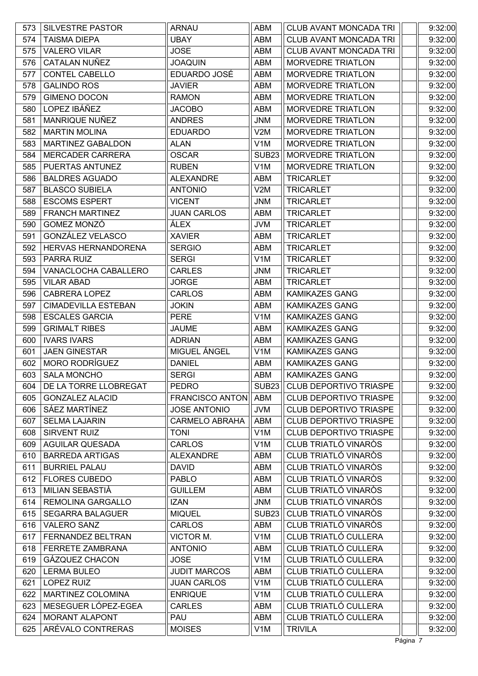| 573 | <b>SILVESTRE PASTOR</b>    | <b>ARNAU</b>           | ABM              | CLUB AVANT MONCADA TRI        | 9:32:00 |
|-----|----------------------------|------------------------|------------------|-------------------------------|---------|
| 574 | <b>TAISMA DIEPA</b>        | <b>UBAY</b>            | ABM              | <b>CLUB AVANT MONCADA TRI</b> | 9:32:00 |
| 575 | <b>VALERO VILAR</b>        | <b>JOSE</b>            | <b>ABM</b>       | <b>CLUB AVANT MONCADA TRI</b> | 9:32:00 |
| 576 | CATALAN NUÑEZ              | <b>JOAQUIN</b>         | <b>ABM</b>       | <b>MORVEDRE TRIATLON</b>      | 9:32:00 |
| 577 | <b>CONTEL CABELLO</b>      | EDUARDO JOSÉ           | ABM              | <b>MORVEDRE TRIATLON</b>      | 9:32:00 |
| 578 | <b>GALINDO ROS</b>         | <b>JAVIER</b>          | ABM              | <b>MORVEDRE TRIATLON</b>      | 9:32:00 |
| 579 | <b>GIMENO DOCON</b>        | <b>RAMON</b>           | ABM              | <b>MORVEDRE TRIATLON</b>      | 9:32:00 |
| 580 | LOPEZ IBÁÑEZ               | <b>JACOBO</b>          | ABM              | <b>MORVEDRE TRIATLON</b>      | 9:32:00 |
| 581 | MANRIQUE NUÑEZ             | <b>ANDRES</b>          | JNM              | <b>MORVEDRE TRIATLON</b>      | 9:32:00 |
| 582 | <b>MARTIN MOLINA</b>       | <b>EDUARDO</b>         | V2M              | <b>MORVEDRE TRIATLON</b>      | 9:32:00 |
| 583 | <b>MARTINEZ GABALDON</b>   | <b>ALAN</b>            | V <sub>1</sub> M | <b>MORVEDRE TRIATLON</b>      | 9:32:00 |
| 584 | <b>MERCADER CARRERA</b>    | <b>OSCAR</b>           | <b>SUB23</b>     | <b>MORVEDRE TRIATLON</b>      | 9:32:00 |
| 585 | PUERTAS ANTUNEZ            | <b>RUBEN</b>           | V <sub>1</sub> M | <b>MORVEDRE TRIATLON</b>      | 9:32:00 |
| 586 | <b>BALDRES AGUADO</b>      | <b>ALEXANDRE</b>       | ABM              | <b>TRICARLET</b>              | 9:32:00 |
| 587 | <b>BLASCO SUBIELA</b>      | <b>ANTONIO</b>         | V2M              | <b>TRICARLET</b>              | 9:32:00 |
| 588 | <b>ESCOMS ESPERT</b>       | <b>VICENT</b>          | <b>JNM</b>       | <b>TRICARLET</b>              | 9:32:00 |
| 589 | <b>FRANCH MARTINEZ</b>     | <b>JUAN CARLOS</b>     | ABM              | <b>TRICARLET</b>              | 9:32:00 |
| 590 | GOMEZ MONZÓ                | <b>ALEX</b>            | JVM              | <b>TRICARLET</b>              | 9:32:00 |
| 591 | GONZÁLEZ VELASCO           | <b>XAVIER</b>          | <b>ABM</b>       | <b>TRICARLET</b>              | 9:32:00 |
| 592 | HERVAS HERNANDORENA        | <b>SERGIO</b>          | ABM              | <b>TRICARLET</b>              | 9:32:00 |
| 593 | PARRA RUIZ                 | <b>SERGI</b>           | V <sub>1</sub> M | <b>TRICARLET</b>              | 9:32:00 |
| 594 | VANACLOCHA CABALLERO       | <b>CARLES</b>          | <b>JNM</b>       | <b>TRICARLET</b>              | 9:32:00 |
| 595 | <b>VILAR ABAD</b>          | <b>JORGE</b>           | ABM              | <b>TRICARLET</b>              | 9:32:00 |
| 596 | CABRERA LOPEZ              | <b>CARLOS</b>          | ABM              | KAMIKAZES GANG                | 9:32:00 |
| 597 | <b>CIMADEVILLA ESTEBAN</b> | <b>JOKIN</b>           | ABM              | KAMIKAZES GANG                | 9:32:00 |
| 598 | <b>ESCALES GARCIA</b>      | <b>PERE</b>            | V <sub>1</sub> M | <b>KAMIKAZES GANG</b>         | 9:32:00 |
| 599 | <b>GRIMALT RIBES</b>       | <b>JAUME</b>           | ABM              | <b>KAMIKAZES GANG</b>         | 9:32:00 |
| 600 | <b>IVARS IVARS</b>         | <b>ADRIAN</b>          | <b>ABM</b>       | <b>KAMIKAZES GANG</b>         | 9:32:00 |
| 601 | <b>JAEN GINESTAR</b>       | MIGUEL ÁNGEL           | V1M              | KAMIKAZES GANG                | 9:32:00 |
| 602 | <b>MORO RODRÍGUEZ</b>      | <b>DANIEL</b>          | ABM              | <b>KAMIKAZES GANG</b>         | 9:32:00 |
| 603 | <b>SALA MONCHO</b>         | <b>SERGI</b>           | <b>ABM</b>       | <b>KAMIKAZES GANG</b>         | 9:32:00 |
| 604 | DE LA TORRE LLOBREGAT      | <b>PEDRO</b>           | SUB23            | <b>CLUB DEPORTIVO TRIASPE</b> | 9:32:00 |
| 605 | <b>GONZALEZ ALACID</b>     | <b>FRANCISCO ANTON</b> | ABM              | <b>CLUB DEPORTIVO TRIASPE</b> | 9:32:00 |
| 606 | SÁEZ MARTÍNEZ              | <b>JOSE ANTONIO</b>    | JVM              | <b>CLUB DEPORTIVO TRIASPE</b> | 9:32:00 |
| 607 | <b>SELMA LAJARIN</b>       | <b>CARMELO ABRAHA</b>  | ABM              | CLUB DEPORTIVO TRIASPE        | 9:32:00 |
| 608 | SIRVENT RUIZ               | <b>TONI</b>            | V <sub>1</sub> M | <b>CLUB DEPORTIVO TRIASPE</b> | 9:32:00 |
| 609 | <b>AGUILAR QUESADA</b>     | <b>CARLOS</b>          | V <sub>1</sub> M | CLUB TRIATLÓ VINARÒS          | 9:32:00 |
| 610 | <b>BARREDA ARTIGAS</b>     | <b>ALEXANDRE</b>       | <b>ABM</b>       | CLUB TRIATLÓ VINARÒS          | 9:32:00 |
| 611 | <b>BURRIEL PALAU</b>       | <b>DAVID</b>           | ABM              | CLUB TRIATLÓ VINARÒS          | 9:32:00 |
| 612 | <b>FLORES CUBEDO</b>       | <b>PABLO</b>           | ABM              | CLUB TRIATLÓ VINARÒS          | 9:32:00 |
| 613 | MILIAN SEBASTIÀ            | <b>GUILLEM</b>         | ABM              | <b>CLUB TRIATLÓ VINAROS</b>   | 9:32:00 |
| 614 | REMOLINA GARGALLO          | <b>IZAN</b>            | <b>JNM</b>       | CLUB TRIATLÓ VINARÒS          | 9:32:00 |
| 615 | <b>SEGARRA BALAGUER</b>    | <b>MIQUEL</b>          | <b>SUB23</b>     | CLUB TRIATLÓ VINARÒS          | 9:32:00 |
| 616 | <b>VALERO SANZ</b>         | <b>CARLOS</b>          | ABM              | CLUB TRIATLÓ VINAROS          | 9:32:00 |
| 617 | FERNANDEZ BELTRAN          | VICTOR M.              | V <sub>1</sub> M | CLUB TRIATLÓ CULLERA          | 9:32:00 |
| 618 | FERRETE ZAMBRANA           | <b>ANTONIO</b>         | ABM              | <b>CLUB TRIATLÓ CULLERA</b>   | 9:32:00 |
| 619 | GÁZQUEZ CHACON             | <b>JOSE</b>            | V <sub>1</sub> M | CLUB TRIATLÓ CULLERA          | 9:32:00 |
| 620 | <b>LERMA BULEO</b>         | <b>JUDIT MARCOS</b>    | <b>ABM</b>       | CLUB TRIATLÓ CULLERA          | 9:32:00 |
| 621 | <b>LOPEZ RUIZ</b>          | <b>JUAN CARLOS</b>     | V1M              | CLUB TRIATLÓ CULLERA          | 9:32:00 |
| 622 | MARTINEZ COLOMINA          | <b>ENRIQUE</b>         | V <sub>1</sub> M | CLUB TRIATLÓ CULLERA          | 9:32:00 |
| 623 | MESEGUER LÓPEZ-EGEA        | <b>CARLES</b>          | <b>ABM</b>       | CLUB TRIATLÓ CULLERA          | 9:32:00 |
| 624 | MORANT ALAPONT             | PAU                    | ABM              | CLUB TRIATLÓ CULLERA          | 9:32:00 |
| 625 | ARÉVALO CONTRERAS          | <b>MOISES</b>          | V <sub>1</sub> M | <b>TRIVILA</b>                | 9:32:00 |
|     |                            |                        |                  |                               |         |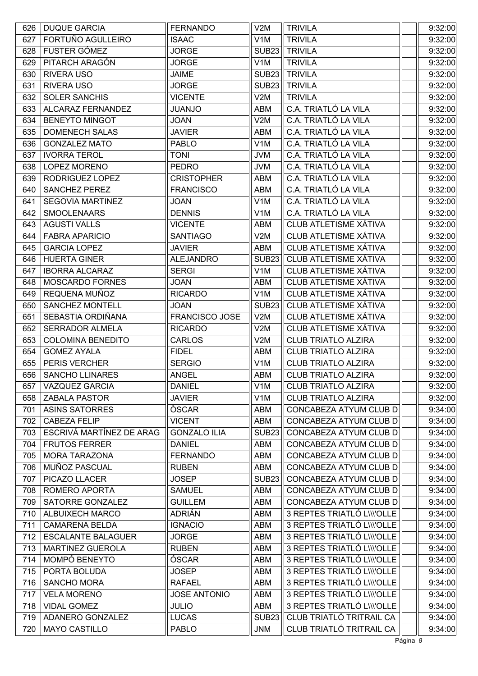| 626 | <b>DUQUE GARCIA</b>       | <b>FERNANDO</b>     | V2M               | <b>TRIVILA</b>               | 9:32:00 |
|-----|---------------------------|---------------------|-------------------|------------------------------|---------|
| 627 | FORTUÑO AGULLEIRO         | <b>ISAAC</b>        | V <sub>1</sub> M  | <b>TRIVILA</b>               | 9:32:00 |
| 628 | FUSTER GÓMEZ              | <b>JORGE</b>        | <b>SUB23</b>      | <b>TRIVILA</b>               | 9:32:00 |
| 629 | PITARCH ARAGÓN            | <b>JORGE</b>        | V <sub>1</sub> M  | <b>TRIVILA</b>               | 9:32:00 |
| 630 | <b>RIVERA USO</b>         | <b>JAIME</b>        | <b>SUB23</b>      | <b>TRIVILA</b>               | 9:32:00 |
| 631 | <b>RIVERA USO</b>         | <b>JORGE</b>        | <b>SUB23</b>      | <b>TRIVILA</b>               | 9:32:00 |
| 632 | <b>SOLER SANCHIS</b>      | <b>VICENTE</b>      | V2M               | <b>TRIVILA</b>               | 9:32:00 |
| 633 | ALCARAZ FERNANDEZ         | <b>OLIANJO</b>      | ABM               | C.A. TRIATLÓ LA VILA         | 9:32:00 |
| 634 | <b>BENEYTO MINGOT</b>     | <b>JOAN</b>         | V2M               | C.A. TRIATLÓ LA VILA         | 9:32:00 |
| 635 | <b>DOMENECH SALAS</b>     | <b>JAVIER</b>       | ABM               | C.A. TRIATLÓ LA VILA         | 9:32:00 |
| 636 | <b>GONZALEZ MATO</b>      | <b>PABLO</b>        | V <sub>1</sub> M  | C.A. TRIATLÓ LA VILA         | 9:32:00 |
| 637 | <b>IVORRA TEROL</b>       | <b>TONI</b>         | <b>JVM</b>        | C.A. TRIATLÓ LA VILA         | 9:32:00 |
| 638 | LOPEZ MORENO              | <b>PEDRO</b>        | <b>JVM</b>        | C.A. TRIATLÓ LA VILA         | 9:32:00 |
| 639 | RODRIGUEZ LOPEZ           | <b>CRISTOPHER</b>   | <b>ABM</b>        | C.A. TRIATLÓ LA VILA         | 9:32:00 |
| 640 | <b>SANCHEZ PEREZ</b>      | <b>FRANCISCO</b>    | ABM               | C.A. TRIATLÓ LA VILA         | 9:32:00 |
| 641 | <b>SEGOVIA MARTINEZ</b>   | <b>JOAN</b>         | V <sub>1</sub> M  | C.A. TRIATLÓ LA VILA         | 9:32:00 |
| 642 | <b>SMOOLENAARS</b>        | <b>DENNIS</b>       | V <sub>1</sub> M  | C.A. TRIATLÓ LA VILA         | 9:32:00 |
| 643 | <b>AGUSTI VALLS</b>       | <b>VICENTE</b>      | ABM               | <b>CLUB ATLETISME XÁTIVA</b> | 9:32:00 |
| 644 | <b>FABRA APARICIO</b>     | <b>SANTIAGO</b>     | V2M               | CLUB ATLETISME XÁTIVA        | 9:32:00 |
| 645 | <b>GARCIA LOPEZ</b>       | <b>JAVIER</b>       | ABM               | <b>CLUB ATLETISME XÁTIVA</b> | 9:32:00 |
| 646 | <b>HUERTA GINER</b>       | <b>ALEJANDRO</b>    | <b>SUB23</b>      | CLUB ATLETISME XÁTIVA        | 9:32:00 |
| 647 | <b>IBORRA ALCARAZ</b>     | <b>SERGI</b>        | V <sub>1</sub> M  | CLUB ATLETISME XÁTIVA        | 9:32:00 |
| 648 | <b>MOSCARDO FORNES</b>    | <b>JOAN</b>         | ABM               | <b>CLUB ATLETISME XÁTIVA</b> | 9:32:00 |
| 649 | REQUENA MUÑOZ             | <b>RICARDO</b>      | V <sub>1</sub> M  | CLUB ATLETISME XÁTIVA        | 9:32:00 |
| 650 | <b>SANCHEZ MONTELL</b>    | <b>JOAN</b>         | <b>SUB23</b>      | CLUB ATLETISME XÁTIVA        | 9:32:00 |
| 651 | SEBASTIA ORDIÑANA         | FRANCISCO JOSE      | V2M               | <b>CLUB ATLETISME XÁTIVA</b> | 9:32:00 |
| 652 | <b>SERRADOR ALMELA</b>    | <b>RICARDO</b>      | V2M               | CLUB ATLETISME XÁTIVA        | 9:32:00 |
| 653 | <b>COLOMINA BENEDITO</b>  | <b>CARLOS</b>       | V2M               | <b>CLUB TRIATLO ALZIRA</b>   | 9:32:00 |
| 654 | <b>GOMEZ AYALA</b>        | <b>FIDEL</b>        | ABM               | <b>CLUB TRIATLO ALZIRA</b>   | 9:32:00 |
| 655 | PERIS VERCHER             | <b>SERGIO</b>       | V <sub>1</sub> M  | <b>CLUB TRIATLO ALZIRA</b>   | 9:32:00 |
| 656 | <b>SANCHO LLINARES</b>    | <b>ANGEL</b>        | ABM               | <b>CLUB TRIATLO ALZIRA</b>   | 9:32:00 |
| 657 | <b>VAZQUEZ GARCIA</b>     | <b>DANIEL</b>       | V <sub>1</sub> M  | <b>CLUB TRIATLO ALZIRA</b>   | 9:32:00 |
| 658 | <b>ZABALA PASTOR</b>      | <b>JAVIER</b>       | V <sub>1</sub> M  | <b>CLUB TRIATLO ALZIRA</b>   | 9:32:00 |
| 701 | <b>ASINS SATORRES</b>     | ÒSCAR               | ABM               | CONCABEZA ATYUM CLUB D       | 9:34:00 |
| 702 | <b>CABEZA FELIP</b>       | <b>VICENT</b>       | <b>ABM</b>        | CONCABEZA ATYUM CLUB D       | 9:34:00 |
| 703 | ESCRIVÁ MARTÍNEZ DE ARAG  | <b>GONZALO ILIA</b> | SUB <sub>23</sub> | CONCABEZA ATYUM CLUB D       | 9:34:00 |
| 704 | <b>FRUTOS FERRER</b>      | <b>DANIEL</b>       | ABM               | CONCABEZA ATYUM CLUB D       | 9:34:00 |
| 705 | MORA TARAZONA             | <b>FERNANDO</b>     | ABM               | CONCABEZA ATYUM CLUB D       | 9:34:00 |
| 706 | MUÑOZ PASCUAL             | <b>RUBEN</b>        | ABM               | CONCABEZA ATYUM CLUB D       | 9:34:00 |
| 707 | PICAZO LLACER             | <b>JOSEP</b>        | <b>SUB23</b>      | CONCABEZA ATYUM CLUB D       | 9:34:00 |
| 708 | ROMERO APORTA             | <b>SAMUEL</b>       | ABM               | CONCABEZA ATYUM CLUB D       | 9:34:00 |
| 709 | SATORRE GONZALEZ          | <b>GUILLEM</b>      | ABM               | CONCABEZA ATYUM CLUB D       | 9:34:00 |
| 710 | <b>ALBUIXECH MARCO</b>    | <b>ADRIÁN</b>       | ABM               | 3 REPTES TRIATLÓ L\\\'OLLE   | 9:34:00 |
| 711 | <b>CAMARENA BELDA</b>     | <b>IGNACIO</b>      | ABM               | 3 REPTES TRIATLÓ L\\\'OLLE   | 9:34:00 |
| 712 | <b>ESCALANTE BALAGUER</b> | <b>JORGE</b>        | ABM               | 3 REPTES TRIATLÓ L\\\'OLLE   | 9:34:00 |
| 713 | <b>MARTINEZ GUEROLA</b>   | <b>RUBEN</b>        | ABM               | 3 REPTES TRIATLÓ L\\\'OLLE   | 9:34:00 |
| 714 | MOMPÓ BENEYTO             | ÓSCAR               | <b>ABM</b>        | 3 REPTES TRIATLÓ L\\\'OLLE   | 9:34:00 |
| 715 | PORTA BOLUDA              | <b>JOSEP</b>        | ABM               | 3 REPTES TRIATLÓ L\\\'OLLE   | 9:34:00 |
| 716 | <b>SANCHO MORA</b>        | <b>RAFAEL</b>       | ABM               | 3 REPTES TRIATLÓ L\\\'OLLE   | 9:34:00 |
| 717 | <b>VELA MORENO</b>        | <b>JOSE ANTONIO</b> | ABM               | 3 REPTES TRIATLÓ L\\\'OLLE   | 9:34:00 |
| 718 | <b>VIDAL GOMEZ</b>        | <b>JULIO</b>        | ABM               | 3 REPTES TRIATLÓ L\\\'OLLE   | 9:34:00 |
| 719 | ADANERO GONZALEZ          | <b>LUCAS</b>        | <b>SUB23</b>      | CLUB TRIATLÓ TRITRAIL CA     | 9:34:00 |
| 720 | <b>MAYO CASTILLO</b>      | <b>PABLO</b>        | <b>JNM</b>        | CLUB TRIATLÓ TRITRAIL CA     | 9:34:00 |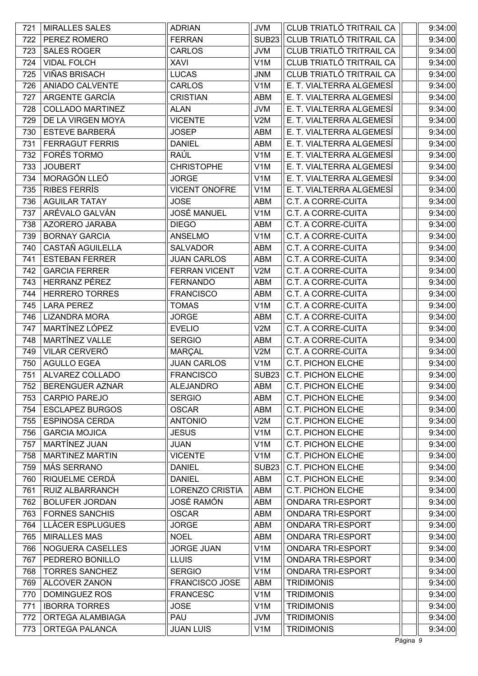| 721 | <b>MIRALLES SALES</b>   | <b>ADRIAN</b>          | <b>JVM</b>        | CLUB TRIATLÓ TRITRAIL CA  | 9:34:00 |
|-----|-------------------------|------------------------|-------------------|---------------------------|---------|
| 722 | PEREZ ROMERO            | <b>FERRAN</b>          | <b>SUB23</b>      | CLUB TRIATLÓ TRITRAIL CA  | 9:34:00 |
| 723 | <b>SALES ROGER</b>      | <b>CARLOS</b>          | <b>JVM</b>        | CLUB TRIATLÓ TRITRAIL CA  | 9:34:00 |
| 724 | <b>VIDAL FOLCH</b>      | <b>XAVI</b>            | V <sub>1</sub> M  | CLUB TRIATLÓ TRITRAIL CA  | 9:34:00 |
| 725 | <b>VIÑAS BRISACH</b>    | <b>LUCAS</b>           | <b>JNM</b>        | CLUB TRIATLÓ TRITRAIL CA  | 9:34:00 |
| 726 | ANIADO CALVENTE         | <b>CARLOS</b>          | V <sub>1</sub> M  | E. T. VIALTERRA ALGEMESÍ  | 9:34:00 |
| 727 | ARGENTE GARCÍA          | <b>CRISTIAN</b>        | ABM               | E. T. VIALTERRA ALGEMESÍ  | 9:34:00 |
| 728 | <b>COLLADO MARTINEZ</b> | <b>ALAN</b>            | <b>JVM</b>        | E. T. VIALTERRA ALGEMESÍ  | 9:34:00 |
| 729 | DE LA VIRGEN MOYA       | <b>VICENTE</b>         | V2M               | E. T. VIALTERRA ALGEMESÍ  | 9:34:00 |
| 730 | <b>ESTEVE BARBERÁ</b>   | <b>JOSEP</b>           | ABM               | E. T. VIALTERRA ALGEMESÍ  | 9:34:00 |
| 731 | <b>FERRAGUT FERRIS</b>  | <b>DANIEL</b>          | ABM               | E. T. VIALTERRA ALGEMESÍ  | 9:34:00 |
| 732 | <b>FORÉS TORMO</b>      | RAÚL                   | V <sub>1</sub> M  | E. T. VIALTERRA ALGEMESÍ  | 9:34:00 |
| 733 | <b>JOUBERT</b>          | <b>CHRISTOPHE</b>      | V <sub>1</sub> M  | E. T. VIALTERRA ALGEMESÍ  | 9:34:00 |
| 734 | MORAGÓN LLEÓ            | <b>JORGE</b>           | V <sub>1</sub> M  | E. T. VIALTERRA ALGEMESÍ  | 9:34:00 |
| 735 | <b>RIBES FERRÍS</b>     | <b>VICENT ONOFRE</b>   | V <sub>1</sub> M  | E. T. VIALTERRA ALGEMESÍ  | 9:34:00 |
| 736 | <b>AGUILAR TATAY</b>    | <b>JOSE</b>            | ABM               | <b>C.T. A CORRE-CUITA</b> | 9:34:00 |
| 737 | ARÉVALO GALVÁN          | <b>JOSÉ MANUEL</b>     | V <sub>1</sub> M  | C.T. A CORRE-CUITA        | 9:34:00 |
| 738 | AZORERO JARABA          | <b>DIEGO</b>           | ABM               | <b>C.T. A CORRE-CUITA</b> | 9:34:00 |
| 739 | <b>BORNAY GARCIA</b>    | <b>ANSELMO</b>         | V <sub>1</sub> M  | <b>C.T. A CORRE-CUITA</b> | 9:34:00 |
| 740 | <b>CASTAÑ AGUILELLA</b> | <b>SALVADOR</b>        | ABM               | C.T. A CORRE-CUITA        | 9:34:00 |
| 741 | <b>ESTEBAN FERRER</b>   | <b>JUAN CARLOS</b>     | ABM               | <b>C.T. A CORRE-CUITA</b> | 9:34:00 |
| 742 | <b>GARCIA FERRER</b>    | <b>FERRAN VICENT</b>   | V2M               | C.T. A CORRE-CUITA        | 9:34:00 |
| 743 | HERRANZ PÉREZ           | <b>FERNANDO</b>        | ABM               | <b>C.T. A CORRE-CUITA</b> | 9:34:00 |
| 744 | <b>HERRERO TORRES</b>   | <b>FRANCISCO</b>       | ABM               | <b>C.T. A CORRE-CUITA</b> | 9:34:00 |
| 745 | <b>LARA PEREZ</b>       | <b>TOMAS</b>           | V <sub>1</sub> M  | C.T. A CORRE-CUITA        | 9:34:00 |
| 746 | <b>LIZANDRA MORA</b>    | <b>JORGE</b>           | ABM               | <b>C.T. A CORRE-CUITA</b> | 9:34:00 |
| 747 | MARTÍNEZ LÓPEZ          | <b>EVELIO</b>          | V2M               | C.T. A CORRE-CUITA        | 9:34:00 |
| 748 | MARTÍNEZ VALLE          | <b>SERGIO</b>          | ABM               | <b>C.T. A CORRE-CUITA</b> | 9:34:00 |
| 749 | <b>VILAR CERVERÓ</b>    | MARÇAL                 | V2M               | <b>C.T. A CORRE-CUITA</b> | 9:34:00 |
| 750 | <b>AGULLO EGEA</b>      | <b>JUAN CARLOS</b>     | V <sub>1</sub> M  | <b>C.T. PICHON ELCHE</b>  | 9:34:00 |
| 751 | ALVAREZ COLLADO         | <b>FRANCISCO</b>       | SUB <sub>23</sub> | <b>C.T. PICHON ELCHE</b>  | 9:34:00 |
| 752 | BERENGUER AZNAR         | <b>ALEJANDRO</b>       | ABM               | <b>C.T. PICHON ELCHE</b>  | 9:34:00 |
| 753 | <b>CARPIO PAREJO</b>    | <b>SERGIO</b>          | ABM               | <b>C.T. PICHON ELCHE</b>  | 9:34:00 |
| 754 | <b>ESCLAPEZ BURGOS</b>  | <b>OSCAR</b>           | ABM               | <b>C.T. PICHON ELCHE</b>  | 9:34:00 |
| 755 | <b>ESPINOSA CERDA</b>   | <b>ANTONIO</b>         | V2M               | <b>C.T. PICHON ELCHE</b>  | 9:34:00 |
| 756 | <b>GARCIA MOJICA</b>    | <b>JESUS</b>           | V <sub>1</sub> M  | C.T. PICHON ELCHE         | 9:34:00 |
| 757 | MARTÍNEZ JUAN           | <b>JUAN</b>            | V <sub>1</sub> M  | <b>C.T. PICHON ELCHE</b>  | 9:34:00 |
| 758 | <b>MARTINEZ MARTIN</b>  | <b>VICENTE</b>         | V <sub>1</sub> M  | <b>C.T. PICHON ELCHE</b>  | 9:34:00 |
| 759 | <b>MÁS SERRANO</b>      | <b>DANIEL</b>          | <b>SUB23</b>      | <b>C.T. PICHON ELCHE</b>  | 9:34:00 |
| 760 | RIQUELME CERDÀ          | <b>DANIEL</b>          | ABM               | <b>C.T. PICHON ELCHE</b>  | 9:34:00 |
| 761 | <b>RUIZ ALBARRANCH</b>  | <b>LORENZO CRISTIA</b> | ABM               | <b>C.T. PICHON ELCHE</b>  | 9:34:00 |
| 762 | <b>BOLUFER JORDAN</b>   | <b>JOSÉ RAMÓN</b>      | ABM               | <b>ONDARA TRI-ESPORT</b>  | 9:34:00 |
| 763 | <b>FORNES SANCHIS</b>   | <b>OSCAR</b>           | ABM               | <b>ONDARA TRI-ESPORT</b>  | 9:34:00 |
| 764 | LLÀCER ESPLUGUES        | <b>JORGE</b>           | ABM               | ONDARA TRI-ESPORT         | 9:34:00 |
| 765 | <b>MIRALLES MAS</b>     | <b>NOEL</b>            | ABM               | <b>ONDARA TRI-ESPORT</b>  | 9:34:00 |
| 766 | NOGUERA CASELLES        | <b>JORGE JUAN</b>      | V <sub>1</sub> M  | <b>ONDARA TRI-ESPORT</b>  | 9:34:00 |
| 767 | PEDRERO BONILLO         | <b>LLUIS</b>           | V <sub>1</sub> M  | <b>ONDARA TRI-ESPORT</b>  | 9:34:00 |
| 768 | <b>TORRES SANCHEZ</b>   | <b>SERGIO</b>          | V <sub>1</sub> M  | <b>ONDARA TRI-ESPORT</b>  | 9:34:00 |
| 769 | ALCOVER ZANON           | <b>FRANCISCO JOSE</b>  | ABM               | <b>TRIDIMONIS</b>         | 9:34:00 |
| 770 | DOMINGUEZ ROS           | <b>FRANCESC</b>        | V <sub>1</sub> M  | <b>TRIDIMONIS</b>         | 9:34:00 |
| 771 | <b>IBORRA TORRES</b>    | <b>JOSE</b>            | V <sub>1</sub> M  | <b>TRIDIMONIS</b>         | 9:34:00 |
| 772 | ORTEGA ALAMBIAGA        | PAU                    | <b>JVM</b>        | <b>TRIDIMONIS</b>         | 9:34:00 |
| 773 | <b>ORTEGA PALANCA</b>   | <b>JUAN LUIS</b>       | V <sub>1</sub> M  | <b>TRIDIMONIS</b>         | 9:34:00 |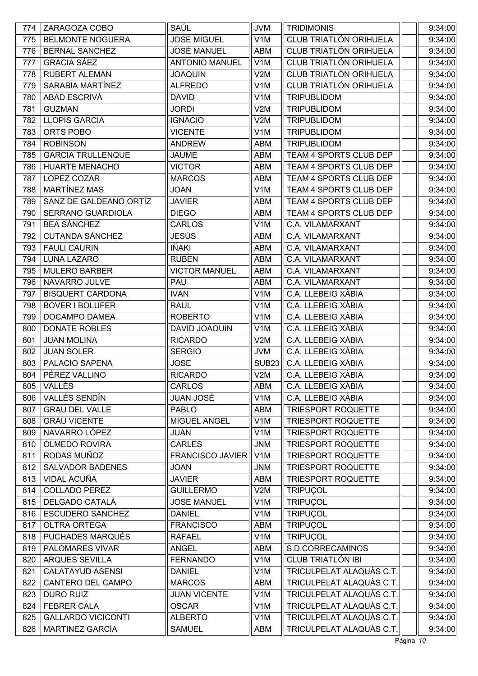| <b>BELMONTE NOGUERA</b><br><b>JOSE MIGUEL</b><br>CLUB TRIATLÓN ORIHUELA<br>9:34:00<br>775<br>V <sub>1</sub> M<br>CLUB TRIATLÓN ORIHUELA<br><b>JOSÉ MANUEL</b><br><b>BERNAL SANCHEZ</b><br><b>ABM</b><br>9:34:00<br>776<br>CLUB TRIATLÓN ORIHUELA<br><b>GRACIA SÁEZ</b><br><b>ANTONIO MANUEL</b><br>V <sub>1</sub> M<br>9:34:00<br>777<br>CLUB TRIATLÓN ORIHUELA<br><b>RUBERT ALEMAN</b><br><b>JOAQUIN</b><br>9:34:00<br>778<br>V2M<br>CLUB TRIATLÓN ORIHUELA<br>SARABIA MARTÍNEZ<br>779<br><b>ALFREDO</b><br>9:34:00<br>V <sub>1</sub> M<br>ABAD ESCRIVÁ<br>9:34:00<br><b>DAVID</b><br>V <sub>1</sub> M<br><b>TRIPUBLIDOM</b><br>780<br><b>GUZMAN</b><br><b>JORDI</b><br>V2M<br><b>TRIPUBLIDOM</b><br>9:34:00<br>781<br>782<br><b>LLOPIS GARCIA</b><br>V2M<br><b>TRIPUBLIDOM</b><br>9:34:00<br><b>IGNACIO</b><br>783<br>ORTS POBO<br>V <sub>1</sub> M<br><b>TRIPUBLIDOM</b><br>9:34:00<br><b>VICENTE</b><br><b>ROBINSON</b><br><b>TRIPUBLIDOM</b><br>9:34:00<br>784<br><b>ANDREW</b><br>ABM<br><b>GARCIA TRULLENQUE</b><br><b>JAUME</b><br>TEAM 4 SPORTS CLUB DEP<br>9:34:00<br>785<br>ABM<br><b>HUARTE MENACHO</b><br><b>VICTOR</b><br>TEAM 4 SPORTS CLUB DEP<br>9:34:00<br>786<br>ABM<br>787<br>LOPEZ COZAR<br><b>MARCOS</b><br>TEAM 4 SPORTS CLUB DEP<br>9:34:00<br>ABM<br>MARTÍNEZ MAS<br>TEAM 4 SPORTS CLUB DEP<br>788<br><b>JOAN</b><br>V <sub>1</sub> M<br>9:34:00<br>SANZ DE GALDEANO ORTÍZ<br><b>JAVIER</b><br>TEAM 4 SPORTS CLUB DEP<br>9:34:00<br>789<br>ABM<br>SERRANO GUARDIOLA<br><b>DIEGO</b><br>TEAM 4 SPORTS CLUB DEP<br>9:34:00<br>790<br>ABM<br><b>BEA SÁNCHEZ</b><br><b>CARLOS</b><br>V <sub>1</sub> M<br>9:34:00<br>791<br>C.A. VILAMARXANT<br><b>CUTANDA SÁNCHEZ</b><br>JESÚS<br>C.A. VILAMARXANT<br><b>ABM</b><br>9:34:00<br>792<br>IÑAKI<br>793<br><b>FAULI CAURIN</b><br>ABM<br>C.A. VILAMARXANT<br>9:34:00<br><b>LUNA LAZARO</b><br>ABM<br>C.A. VILAMARXANT<br>9:34:00<br>794<br><b>RUBEN</b><br>9:34:00<br><b>MULERO BARBER</b><br><b>VICTOR MANUEL</b><br>ABM<br>C.A. VILAMARXANT<br>795<br>NAVARRO JULVE<br>PAU<br>C.A. VILAMARXANT<br>9:34:00<br>796<br>ABM<br>C.A. LLEBEIG XÀBIA<br><b>BISQUERT CARDONA</b><br>V <sub>1</sub> M<br>9:34:00<br>797<br><b>IVAN</b><br>C.A. LLEBEIG XÀBIA<br>798<br><b>BOVER I BOLUFER</b><br><b>RAUL</b><br>V <sub>1</sub> M<br>9:34:00<br>C.A. LLEBEIG XÀBIA<br>9:34:00<br>799<br>DOCAMPO DAMEA<br><b>ROBERTO</b><br>V <sub>1</sub> M<br>C.A. LLEBEIG XÀBIA<br>9:34:00<br><b>DONATE ROBLES</b><br>DAVID JOAQUIN<br>V <sub>1</sub> M<br>800<br><b>JUAN MOLINA</b><br><b>RICARDO</b><br>V2M<br>C.A. LLEBEIG XÀBIA<br>9:34:00<br>801<br>C.A. LLEBEIG XÀBIA<br><b>JUAN SOLER</b><br><b>SERGIO</b><br><b>JVM</b><br>9:34:00<br>802<br>C.A. LLEBEIG XÀBIA<br>803<br>PALACIO SAPENA<br><b>JOSE</b><br><b>SUB23</b><br>9:34:00<br>PÉREZ VALLINO<br>C.A. LLEBEIG XÀBIA<br><b>RICARDO</b><br>V2M<br>804<br>VALLÉS<br>C.A. LLEBEIG XÀBIA<br><b>CARLOS</b><br>ABM<br>805<br>VALLÉS SENDÍN<br><b>JUAN JOSÉ</b><br>V <sub>1</sub> M<br>C.A. LLEBEIG XÀBIA<br>806<br><b>GRAU DEL VALLE</b><br>807<br><b>PABLO</b><br>ABM<br><b>TRIESPORT ROQUETTE</b><br><b>GRAU VICENTE</b><br>MIGUEL ANGEL<br>808<br>V <sub>1</sub> M<br>TRIESPORT ROQUETTE<br>NAVARRO LÓPEZ<br><b>TRIESPORT ROQUETTE</b><br><b>JUAN</b><br>V <sub>1</sub> M<br>809<br>OLMEDO ROVIRA<br><b>CARLES</b><br><b>JNM</b><br><b>TRIESPORT ROQUETTE</b><br>810<br>RODAS MUÑOZ<br>V <sub>1</sub> M<br>811<br><b>FRANCISCO JAVIER</b><br><b>TRIESPORT ROQUETTE</b><br><b>SALVADOR BADENES</b><br>812<br><b>JOAN</b><br><b>JNM</b><br><b>TRIESPORT ROQUETTE</b><br>VIDAL ACUÑA<br>813<br>ABM<br>TRIESPORT ROQUETTE<br><b>JAVIER</b><br>814<br><b>COLLADO PEREZ</b><br><b>GUILLERMO</b><br><b>TRIPUÇOL</b><br>V2M<br>DELGADO CATALÁ<br><b>JOSE MANUEL</b><br>V <sub>1</sub> M<br><b>TRIPUÇOL</b><br>815<br><b>ESCUDERO SANCHEZ</b><br>V <sub>1</sub> M<br>TRIPUÇOL<br>816<br><b>DANIEL</b> |
|--------------------------------------------------------------------------------------------------------------------------------------------------------------------------------------------------------------------------------------------------------------------------------------------------------------------------------------------------------------------------------------------------------------------------------------------------------------------------------------------------------------------------------------------------------------------------------------------------------------------------------------------------------------------------------------------------------------------------------------------------------------------------------------------------------------------------------------------------------------------------------------------------------------------------------------------------------------------------------------------------------------------------------------------------------------------------------------------------------------------------------------------------------------------------------------------------------------------------------------------------------------------------------------------------------------------------------------------------------------------------------------------------------------------------------------------------------------------------------------------------------------------------------------------------------------------------------------------------------------------------------------------------------------------------------------------------------------------------------------------------------------------------------------------------------------------------------------------------------------------------------------------------------------------------------------------------------------------------------------------------------------------------------------------------------------------------------------------------------------------------------------------------------------------------------------------------------------------------------------------------------------------------------------------------------------------------------------------------------------------------------------------------------------------------------------------------------------------------------------------------------------------------------------------------------------------------------------------------------------------------------------------------------------------------------------------------------------------------------------------------------------------------------------------------------------------------------------------------------------------------------------------------------------------------------------------------------------------------------------------------------------------------------------------------------------------------------------------------------------------------------------------------------------------------------------------------------------------------------------------------------------------------------------------------------------------------------------------------------------------------------------------------------------------------------------------------------------------------------------------------------------------------------------------------------------------------------------------------------------------------------------------------------------------------------------------------------------------------------------------------------------------------------------------------------------------------------------------------------------------------------------------------|
|                                                                                                                                                                                                                                                                                                                                                                                                                                                                                                                                                                                                                                                                                                                                                                                                                                                                                                                                                                                                                                                                                                                                                                                                                                                                                                                                                                                                                                                                                                                                                                                                                                                                                                                                                                                                                                                                                                                                                                                                                                                                                                                                                                                                                                                                                                                                                                                                                                                                                                                                                                                                                                                                                                                                                                                                                                                                                                                                                                                                                                                                                                                                                                                                                                                                                                                                                                                                                                                                                                                                                                                                                                                                                                                                                                                                                                                                                                  |
|                                                                                                                                                                                                                                                                                                                                                                                                                                                                                                                                                                                                                                                                                                                                                                                                                                                                                                                                                                                                                                                                                                                                                                                                                                                                                                                                                                                                                                                                                                                                                                                                                                                                                                                                                                                                                                                                                                                                                                                                                                                                                                                                                                                                                                                                                                                                                                                                                                                                                                                                                                                                                                                                                                                                                                                                                                                                                                                                                                                                                                                                                                                                                                                                                                                                                                                                                                                                                                                                                                                                                                                                                                                                                                                                                                                                                                                                                                  |
|                                                                                                                                                                                                                                                                                                                                                                                                                                                                                                                                                                                                                                                                                                                                                                                                                                                                                                                                                                                                                                                                                                                                                                                                                                                                                                                                                                                                                                                                                                                                                                                                                                                                                                                                                                                                                                                                                                                                                                                                                                                                                                                                                                                                                                                                                                                                                                                                                                                                                                                                                                                                                                                                                                                                                                                                                                                                                                                                                                                                                                                                                                                                                                                                                                                                                                                                                                                                                                                                                                                                                                                                                                                                                                                                                                                                                                                                                                  |
|                                                                                                                                                                                                                                                                                                                                                                                                                                                                                                                                                                                                                                                                                                                                                                                                                                                                                                                                                                                                                                                                                                                                                                                                                                                                                                                                                                                                                                                                                                                                                                                                                                                                                                                                                                                                                                                                                                                                                                                                                                                                                                                                                                                                                                                                                                                                                                                                                                                                                                                                                                                                                                                                                                                                                                                                                                                                                                                                                                                                                                                                                                                                                                                                                                                                                                                                                                                                                                                                                                                                                                                                                                                                                                                                                                                                                                                                                                  |
|                                                                                                                                                                                                                                                                                                                                                                                                                                                                                                                                                                                                                                                                                                                                                                                                                                                                                                                                                                                                                                                                                                                                                                                                                                                                                                                                                                                                                                                                                                                                                                                                                                                                                                                                                                                                                                                                                                                                                                                                                                                                                                                                                                                                                                                                                                                                                                                                                                                                                                                                                                                                                                                                                                                                                                                                                                                                                                                                                                                                                                                                                                                                                                                                                                                                                                                                                                                                                                                                                                                                                                                                                                                                                                                                                                                                                                                                                                  |
|                                                                                                                                                                                                                                                                                                                                                                                                                                                                                                                                                                                                                                                                                                                                                                                                                                                                                                                                                                                                                                                                                                                                                                                                                                                                                                                                                                                                                                                                                                                                                                                                                                                                                                                                                                                                                                                                                                                                                                                                                                                                                                                                                                                                                                                                                                                                                                                                                                                                                                                                                                                                                                                                                                                                                                                                                                                                                                                                                                                                                                                                                                                                                                                                                                                                                                                                                                                                                                                                                                                                                                                                                                                                                                                                                                                                                                                                                                  |
|                                                                                                                                                                                                                                                                                                                                                                                                                                                                                                                                                                                                                                                                                                                                                                                                                                                                                                                                                                                                                                                                                                                                                                                                                                                                                                                                                                                                                                                                                                                                                                                                                                                                                                                                                                                                                                                                                                                                                                                                                                                                                                                                                                                                                                                                                                                                                                                                                                                                                                                                                                                                                                                                                                                                                                                                                                                                                                                                                                                                                                                                                                                                                                                                                                                                                                                                                                                                                                                                                                                                                                                                                                                                                                                                                                                                                                                                                                  |
|                                                                                                                                                                                                                                                                                                                                                                                                                                                                                                                                                                                                                                                                                                                                                                                                                                                                                                                                                                                                                                                                                                                                                                                                                                                                                                                                                                                                                                                                                                                                                                                                                                                                                                                                                                                                                                                                                                                                                                                                                                                                                                                                                                                                                                                                                                                                                                                                                                                                                                                                                                                                                                                                                                                                                                                                                                                                                                                                                                                                                                                                                                                                                                                                                                                                                                                                                                                                                                                                                                                                                                                                                                                                                                                                                                                                                                                                                                  |
|                                                                                                                                                                                                                                                                                                                                                                                                                                                                                                                                                                                                                                                                                                                                                                                                                                                                                                                                                                                                                                                                                                                                                                                                                                                                                                                                                                                                                                                                                                                                                                                                                                                                                                                                                                                                                                                                                                                                                                                                                                                                                                                                                                                                                                                                                                                                                                                                                                                                                                                                                                                                                                                                                                                                                                                                                                                                                                                                                                                                                                                                                                                                                                                                                                                                                                                                                                                                                                                                                                                                                                                                                                                                                                                                                                                                                                                                                                  |
|                                                                                                                                                                                                                                                                                                                                                                                                                                                                                                                                                                                                                                                                                                                                                                                                                                                                                                                                                                                                                                                                                                                                                                                                                                                                                                                                                                                                                                                                                                                                                                                                                                                                                                                                                                                                                                                                                                                                                                                                                                                                                                                                                                                                                                                                                                                                                                                                                                                                                                                                                                                                                                                                                                                                                                                                                                                                                                                                                                                                                                                                                                                                                                                                                                                                                                                                                                                                                                                                                                                                                                                                                                                                                                                                                                                                                                                                                                  |
|                                                                                                                                                                                                                                                                                                                                                                                                                                                                                                                                                                                                                                                                                                                                                                                                                                                                                                                                                                                                                                                                                                                                                                                                                                                                                                                                                                                                                                                                                                                                                                                                                                                                                                                                                                                                                                                                                                                                                                                                                                                                                                                                                                                                                                                                                                                                                                                                                                                                                                                                                                                                                                                                                                                                                                                                                                                                                                                                                                                                                                                                                                                                                                                                                                                                                                                                                                                                                                                                                                                                                                                                                                                                                                                                                                                                                                                                                                  |
|                                                                                                                                                                                                                                                                                                                                                                                                                                                                                                                                                                                                                                                                                                                                                                                                                                                                                                                                                                                                                                                                                                                                                                                                                                                                                                                                                                                                                                                                                                                                                                                                                                                                                                                                                                                                                                                                                                                                                                                                                                                                                                                                                                                                                                                                                                                                                                                                                                                                                                                                                                                                                                                                                                                                                                                                                                                                                                                                                                                                                                                                                                                                                                                                                                                                                                                                                                                                                                                                                                                                                                                                                                                                                                                                                                                                                                                                                                  |
|                                                                                                                                                                                                                                                                                                                                                                                                                                                                                                                                                                                                                                                                                                                                                                                                                                                                                                                                                                                                                                                                                                                                                                                                                                                                                                                                                                                                                                                                                                                                                                                                                                                                                                                                                                                                                                                                                                                                                                                                                                                                                                                                                                                                                                                                                                                                                                                                                                                                                                                                                                                                                                                                                                                                                                                                                                                                                                                                                                                                                                                                                                                                                                                                                                                                                                                                                                                                                                                                                                                                                                                                                                                                                                                                                                                                                                                                                                  |
|                                                                                                                                                                                                                                                                                                                                                                                                                                                                                                                                                                                                                                                                                                                                                                                                                                                                                                                                                                                                                                                                                                                                                                                                                                                                                                                                                                                                                                                                                                                                                                                                                                                                                                                                                                                                                                                                                                                                                                                                                                                                                                                                                                                                                                                                                                                                                                                                                                                                                                                                                                                                                                                                                                                                                                                                                                                                                                                                                                                                                                                                                                                                                                                                                                                                                                                                                                                                                                                                                                                                                                                                                                                                                                                                                                                                                                                                                                  |
|                                                                                                                                                                                                                                                                                                                                                                                                                                                                                                                                                                                                                                                                                                                                                                                                                                                                                                                                                                                                                                                                                                                                                                                                                                                                                                                                                                                                                                                                                                                                                                                                                                                                                                                                                                                                                                                                                                                                                                                                                                                                                                                                                                                                                                                                                                                                                                                                                                                                                                                                                                                                                                                                                                                                                                                                                                                                                                                                                                                                                                                                                                                                                                                                                                                                                                                                                                                                                                                                                                                                                                                                                                                                                                                                                                                                                                                                                                  |
|                                                                                                                                                                                                                                                                                                                                                                                                                                                                                                                                                                                                                                                                                                                                                                                                                                                                                                                                                                                                                                                                                                                                                                                                                                                                                                                                                                                                                                                                                                                                                                                                                                                                                                                                                                                                                                                                                                                                                                                                                                                                                                                                                                                                                                                                                                                                                                                                                                                                                                                                                                                                                                                                                                                                                                                                                                                                                                                                                                                                                                                                                                                                                                                                                                                                                                                                                                                                                                                                                                                                                                                                                                                                                                                                                                                                                                                                                                  |
|                                                                                                                                                                                                                                                                                                                                                                                                                                                                                                                                                                                                                                                                                                                                                                                                                                                                                                                                                                                                                                                                                                                                                                                                                                                                                                                                                                                                                                                                                                                                                                                                                                                                                                                                                                                                                                                                                                                                                                                                                                                                                                                                                                                                                                                                                                                                                                                                                                                                                                                                                                                                                                                                                                                                                                                                                                                                                                                                                                                                                                                                                                                                                                                                                                                                                                                                                                                                                                                                                                                                                                                                                                                                                                                                                                                                                                                                                                  |
|                                                                                                                                                                                                                                                                                                                                                                                                                                                                                                                                                                                                                                                                                                                                                                                                                                                                                                                                                                                                                                                                                                                                                                                                                                                                                                                                                                                                                                                                                                                                                                                                                                                                                                                                                                                                                                                                                                                                                                                                                                                                                                                                                                                                                                                                                                                                                                                                                                                                                                                                                                                                                                                                                                                                                                                                                                                                                                                                                                                                                                                                                                                                                                                                                                                                                                                                                                                                                                                                                                                                                                                                                                                                                                                                                                                                                                                                                                  |
|                                                                                                                                                                                                                                                                                                                                                                                                                                                                                                                                                                                                                                                                                                                                                                                                                                                                                                                                                                                                                                                                                                                                                                                                                                                                                                                                                                                                                                                                                                                                                                                                                                                                                                                                                                                                                                                                                                                                                                                                                                                                                                                                                                                                                                                                                                                                                                                                                                                                                                                                                                                                                                                                                                                                                                                                                                                                                                                                                                                                                                                                                                                                                                                                                                                                                                                                                                                                                                                                                                                                                                                                                                                                                                                                                                                                                                                                                                  |
|                                                                                                                                                                                                                                                                                                                                                                                                                                                                                                                                                                                                                                                                                                                                                                                                                                                                                                                                                                                                                                                                                                                                                                                                                                                                                                                                                                                                                                                                                                                                                                                                                                                                                                                                                                                                                                                                                                                                                                                                                                                                                                                                                                                                                                                                                                                                                                                                                                                                                                                                                                                                                                                                                                                                                                                                                                                                                                                                                                                                                                                                                                                                                                                                                                                                                                                                                                                                                                                                                                                                                                                                                                                                                                                                                                                                                                                                                                  |
|                                                                                                                                                                                                                                                                                                                                                                                                                                                                                                                                                                                                                                                                                                                                                                                                                                                                                                                                                                                                                                                                                                                                                                                                                                                                                                                                                                                                                                                                                                                                                                                                                                                                                                                                                                                                                                                                                                                                                                                                                                                                                                                                                                                                                                                                                                                                                                                                                                                                                                                                                                                                                                                                                                                                                                                                                                                                                                                                                                                                                                                                                                                                                                                                                                                                                                                                                                                                                                                                                                                                                                                                                                                                                                                                                                                                                                                                                                  |
|                                                                                                                                                                                                                                                                                                                                                                                                                                                                                                                                                                                                                                                                                                                                                                                                                                                                                                                                                                                                                                                                                                                                                                                                                                                                                                                                                                                                                                                                                                                                                                                                                                                                                                                                                                                                                                                                                                                                                                                                                                                                                                                                                                                                                                                                                                                                                                                                                                                                                                                                                                                                                                                                                                                                                                                                                                                                                                                                                                                                                                                                                                                                                                                                                                                                                                                                                                                                                                                                                                                                                                                                                                                                                                                                                                                                                                                                                                  |
|                                                                                                                                                                                                                                                                                                                                                                                                                                                                                                                                                                                                                                                                                                                                                                                                                                                                                                                                                                                                                                                                                                                                                                                                                                                                                                                                                                                                                                                                                                                                                                                                                                                                                                                                                                                                                                                                                                                                                                                                                                                                                                                                                                                                                                                                                                                                                                                                                                                                                                                                                                                                                                                                                                                                                                                                                                                                                                                                                                                                                                                                                                                                                                                                                                                                                                                                                                                                                                                                                                                                                                                                                                                                                                                                                                                                                                                                                                  |
|                                                                                                                                                                                                                                                                                                                                                                                                                                                                                                                                                                                                                                                                                                                                                                                                                                                                                                                                                                                                                                                                                                                                                                                                                                                                                                                                                                                                                                                                                                                                                                                                                                                                                                                                                                                                                                                                                                                                                                                                                                                                                                                                                                                                                                                                                                                                                                                                                                                                                                                                                                                                                                                                                                                                                                                                                                                                                                                                                                                                                                                                                                                                                                                                                                                                                                                                                                                                                                                                                                                                                                                                                                                                                                                                                                                                                                                                                                  |
|                                                                                                                                                                                                                                                                                                                                                                                                                                                                                                                                                                                                                                                                                                                                                                                                                                                                                                                                                                                                                                                                                                                                                                                                                                                                                                                                                                                                                                                                                                                                                                                                                                                                                                                                                                                                                                                                                                                                                                                                                                                                                                                                                                                                                                                                                                                                                                                                                                                                                                                                                                                                                                                                                                                                                                                                                                                                                                                                                                                                                                                                                                                                                                                                                                                                                                                                                                                                                                                                                                                                                                                                                                                                                                                                                                                                                                                                                                  |
|                                                                                                                                                                                                                                                                                                                                                                                                                                                                                                                                                                                                                                                                                                                                                                                                                                                                                                                                                                                                                                                                                                                                                                                                                                                                                                                                                                                                                                                                                                                                                                                                                                                                                                                                                                                                                                                                                                                                                                                                                                                                                                                                                                                                                                                                                                                                                                                                                                                                                                                                                                                                                                                                                                                                                                                                                                                                                                                                                                                                                                                                                                                                                                                                                                                                                                                                                                                                                                                                                                                                                                                                                                                                                                                                                                                                                                                                                                  |
|                                                                                                                                                                                                                                                                                                                                                                                                                                                                                                                                                                                                                                                                                                                                                                                                                                                                                                                                                                                                                                                                                                                                                                                                                                                                                                                                                                                                                                                                                                                                                                                                                                                                                                                                                                                                                                                                                                                                                                                                                                                                                                                                                                                                                                                                                                                                                                                                                                                                                                                                                                                                                                                                                                                                                                                                                                                                                                                                                                                                                                                                                                                                                                                                                                                                                                                                                                                                                                                                                                                                                                                                                                                                                                                                                                                                                                                                                                  |
|                                                                                                                                                                                                                                                                                                                                                                                                                                                                                                                                                                                                                                                                                                                                                                                                                                                                                                                                                                                                                                                                                                                                                                                                                                                                                                                                                                                                                                                                                                                                                                                                                                                                                                                                                                                                                                                                                                                                                                                                                                                                                                                                                                                                                                                                                                                                                                                                                                                                                                                                                                                                                                                                                                                                                                                                                                                                                                                                                                                                                                                                                                                                                                                                                                                                                                                                                                                                                                                                                                                                                                                                                                                                                                                                                                                                                                                                                                  |
| 9:34:00<br>9:34:00<br>9:34:00<br>9:34:00<br>9:34:00<br>9:34:00<br>9:34:00<br>9:34:00<br>9:34:00<br>9:34:00<br>9:34:00<br>9:34:00<br>9:34:00                                                                                                                                                                                                                                                                                                                                                                                                                                                                                                                                                                                                                                                                                                                                                                                                                                                                                                                                                                                                                                                                                                                                                                                                                                                                                                                                                                                                                                                                                                                                                                                                                                                                                                                                                                                                                                                                                                                                                                                                                                                                                                                                                                                                                                                                                                                                                                                                                                                                                                                                                                                                                                                                                                                                                                                                                                                                                                                                                                                                                                                                                                                                                                                                                                                                                                                                                                                                                                                                                                                                                                                                                                                                                                                                                      |
|                                                                                                                                                                                                                                                                                                                                                                                                                                                                                                                                                                                                                                                                                                                                                                                                                                                                                                                                                                                                                                                                                                                                                                                                                                                                                                                                                                                                                                                                                                                                                                                                                                                                                                                                                                                                                                                                                                                                                                                                                                                                                                                                                                                                                                                                                                                                                                                                                                                                                                                                                                                                                                                                                                                                                                                                                                                                                                                                                                                                                                                                                                                                                                                                                                                                                                                                                                                                                                                                                                                                                                                                                                                                                                                                                                                                                                                                                                  |
|                                                                                                                                                                                                                                                                                                                                                                                                                                                                                                                                                                                                                                                                                                                                                                                                                                                                                                                                                                                                                                                                                                                                                                                                                                                                                                                                                                                                                                                                                                                                                                                                                                                                                                                                                                                                                                                                                                                                                                                                                                                                                                                                                                                                                                                                                                                                                                                                                                                                                                                                                                                                                                                                                                                                                                                                                                                                                                                                                                                                                                                                                                                                                                                                                                                                                                                                                                                                                                                                                                                                                                                                                                                                                                                                                                                                                                                                                                  |
|                                                                                                                                                                                                                                                                                                                                                                                                                                                                                                                                                                                                                                                                                                                                                                                                                                                                                                                                                                                                                                                                                                                                                                                                                                                                                                                                                                                                                                                                                                                                                                                                                                                                                                                                                                                                                                                                                                                                                                                                                                                                                                                                                                                                                                                                                                                                                                                                                                                                                                                                                                                                                                                                                                                                                                                                                                                                                                                                                                                                                                                                                                                                                                                                                                                                                                                                                                                                                                                                                                                                                                                                                                                                                                                                                                                                                                                                                                  |
|                                                                                                                                                                                                                                                                                                                                                                                                                                                                                                                                                                                                                                                                                                                                                                                                                                                                                                                                                                                                                                                                                                                                                                                                                                                                                                                                                                                                                                                                                                                                                                                                                                                                                                                                                                                                                                                                                                                                                                                                                                                                                                                                                                                                                                                                                                                                                                                                                                                                                                                                                                                                                                                                                                                                                                                                                                                                                                                                                                                                                                                                                                                                                                                                                                                                                                                                                                                                                                                                                                                                                                                                                                                                                                                                                                                                                                                                                                  |
|                                                                                                                                                                                                                                                                                                                                                                                                                                                                                                                                                                                                                                                                                                                                                                                                                                                                                                                                                                                                                                                                                                                                                                                                                                                                                                                                                                                                                                                                                                                                                                                                                                                                                                                                                                                                                                                                                                                                                                                                                                                                                                                                                                                                                                                                                                                                                                                                                                                                                                                                                                                                                                                                                                                                                                                                                                                                                                                                                                                                                                                                                                                                                                                                                                                                                                                                                                                                                                                                                                                                                                                                                                                                                                                                                                                                                                                                                                  |
|                                                                                                                                                                                                                                                                                                                                                                                                                                                                                                                                                                                                                                                                                                                                                                                                                                                                                                                                                                                                                                                                                                                                                                                                                                                                                                                                                                                                                                                                                                                                                                                                                                                                                                                                                                                                                                                                                                                                                                                                                                                                                                                                                                                                                                                                                                                                                                                                                                                                                                                                                                                                                                                                                                                                                                                                                                                                                                                                                                                                                                                                                                                                                                                                                                                                                                                                                                                                                                                                                                                                                                                                                                                                                                                                                                                                                                                                                                  |
|                                                                                                                                                                                                                                                                                                                                                                                                                                                                                                                                                                                                                                                                                                                                                                                                                                                                                                                                                                                                                                                                                                                                                                                                                                                                                                                                                                                                                                                                                                                                                                                                                                                                                                                                                                                                                                                                                                                                                                                                                                                                                                                                                                                                                                                                                                                                                                                                                                                                                                                                                                                                                                                                                                                                                                                                                                                                                                                                                                                                                                                                                                                                                                                                                                                                                                                                                                                                                                                                                                                                                                                                                                                                                                                                                                                                                                                                                                  |
|                                                                                                                                                                                                                                                                                                                                                                                                                                                                                                                                                                                                                                                                                                                                                                                                                                                                                                                                                                                                                                                                                                                                                                                                                                                                                                                                                                                                                                                                                                                                                                                                                                                                                                                                                                                                                                                                                                                                                                                                                                                                                                                                                                                                                                                                                                                                                                                                                                                                                                                                                                                                                                                                                                                                                                                                                                                                                                                                                                                                                                                                                                                                                                                                                                                                                                                                                                                                                                                                                                                                                                                                                                                                                                                                                                                                                                                                                                  |
|                                                                                                                                                                                                                                                                                                                                                                                                                                                                                                                                                                                                                                                                                                                                                                                                                                                                                                                                                                                                                                                                                                                                                                                                                                                                                                                                                                                                                                                                                                                                                                                                                                                                                                                                                                                                                                                                                                                                                                                                                                                                                                                                                                                                                                                                                                                                                                                                                                                                                                                                                                                                                                                                                                                                                                                                                                                                                                                                                                                                                                                                                                                                                                                                                                                                                                                                                                                                                                                                                                                                                                                                                                                                                                                                                                                                                                                                                                  |
|                                                                                                                                                                                                                                                                                                                                                                                                                                                                                                                                                                                                                                                                                                                                                                                                                                                                                                                                                                                                                                                                                                                                                                                                                                                                                                                                                                                                                                                                                                                                                                                                                                                                                                                                                                                                                                                                                                                                                                                                                                                                                                                                                                                                                                                                                                                                                                                                                                                                                                                                                                                                                                                                                                                                                                                                                                                                                                                                                                                                                                                                                                                                                                                                                                                                                                                                                                                                                                                                                                                                                                                                                                                                                                                                                                                                                                                                                                  |
|                                                                                                                                                                                                                                                                                                                                                                                                                                                                                                                                                                                                                                                                                                                                                                                                                                                                                                                                                                                                                                                                                                                                                                                                                                                                                                                                                                                                                                                                                                                                                                                                                                                                                                                                                                                                                                                                                                                                                                                                                                                                                                                                                                                                                                                                                                                                                                                                                                                                                                                                                                                                                                                                                                                                                                                                                                                                                                                                                                                                                                                                                                                                                                                                                                                                                                                                                                                                                                                                                                                                                                                                                                                                                                                                                                                                                                                                                                  |
|                                                                                                                                                                                                                                                                                                                                                                                                                                                                                                                                                                                                                                                                                                                                                                                                                                                                                                                                                                                                                                                                                                                                                                                                                                                                                                                                                                                                                                                                                                                                                                                                                                                                                                                                                                                                                                                                                                                                                                                                                                                                                                                                                                                                                                                                                                                                                                                                                                                                                                                                                                                                                                                                                                                                                                                                                                                                                                                                                                                                                                                                                                                                                                                                                                                                                                                                                                                                                                                                                                                                                                                                                                                                                                                                                                                                                                                                                                  |
|                                                                                                                                                                                                                                                                                                                                                                                                                                                                                                                                                                                                                                                                                                                                                                                                                                                                                                                                                                                                                                                                                                                                                                                                                                                                                                                                                                                                                                                                                                                                                                                                                                                                                                                                                                                                                                                                                                                                                                                                                                                                                                                                                                                                                                                                                                                                                                                                                                                                                                                                                                                                                                                                                                                                                                                                                                                                                                                                                                                                                                                                                                                                                                                                                                                                                                                                                                                                                                                                                                                                                                                                                                                                                                                                                                                                                                                                                                  |
| <b>OLTRA ORTEGA</b><br>TRIPUÇOL<br>9:34:00<br>817<br><b>FRANCISCO</b><br>ABM                                                                                                                                                                                                                                                                                                                                                                                                                                                                                                                                                                                                                                                                                                                                                                                                                                                                                                                                                                                                                                                                                                                                                                                                                                                                                                                                                                                                                                                                                                                                                                                                                                                                                                                                                                                                                                                                                                                                                                                                                                                                                                                                                                                                                                                                                                                                                                                                                                                                                                                                                                                                                                                                                                                                                                                                                                                                                                                                                                                                                                                                                                                                                                                                                                                                                                                                                                                                                                                                                                                                                                                                                                                                                                                                                                                                                     |
| PUCHADES MARQUÉS<br><b>TRIPUÇOL</b><br>9:34:00<br>818<br><b>RAFAEL</b><br>V <sub>1</sub> M                                                                                                                                                                                                                                                                                                                                                                                                                                                                                                                                                                                                                                                                                                                                                                                                                                                                                                                                                                                                                                                                                                                                                                                                                                                                                                                                                                                                                                                                                                                                                                                                                                                                                                                                                                                                                                                                                                                                                                                                                                                                                                                                                                                                                                                                                                                                                                                                                                                                                                                                                                                                                                                                                                                                                                                                                                                                                                                                                                                                                                                                                                                                                                                                                                                                                                                                                                                                                                                                                                                                                                                                                                                                                                                                                                                                       |
| PALOMARES VIVAR<br>S.D.CORRECAMINOS<br>819<br><b>ANGEL</b><br>9:34:00<br>ABM                                                                                                                                                                                                                                                                                                                                                                                                                                                                                                                                                                                                                                                                                                                                                                                                                                                                                                                                                                                                                                                                                                                                                                                                                                                                                                                                                                                                                                                                                                                                                                                                                                                                                                                                                                                                                                                                                                                                                                                                                                                                                                                                                                                                                                                                                                                                                                                                                                                                                                                                                                                                                                                                                                                                                                                                                                                                                                                                                                                                                                                                                                                                                                                                                                                                                                                                                                                                                                                                                                                                                                                                                                                                                                                                                                                                                     |
| <b>CLUB TRIATLÓN IBI</b><br><b>ARQUES SEVILLA</b><br><b>FERNANDO</b><br>9:34:00<br>820<br>V <sub>1</sub> M                                                                                                                                                                                                                                                                                                                                                                                                                                                                                                                                                                                                                                                                                                                                                                                                                                                                                                                                                                                                                                                                                                                                                                                                                                                                                                                                                                                                                                                                                                                                                                                                                                                                                                                                                                                                                                                                                                                                                                                                                                                                                                                                                                                                                                                                                                                                                                                                                                                                                                                                                                                                                                                                                                                                                                                                                                                                                                                                                                                                                                                                                                                                                                                                                                                                                                                                                                                                                                                                                                                                                                                                                                                                                                                                                                                       |
| <b>CALATAYUD ASENSI</b><br>V <sub>1</sub> M<br>TRICULPELAT ALAQUÀS C.T.<br>9:34:00<br>821<br><b>DANIEL</b>                                                                                                                                                                                                                                                                                                                                                                                                                                                                                                                                                                                                                                                                                                                                                                                                                                                                                                                                                                                                                                                                                                                                                                                                                                                                                                                                                                                                                                                                                                                                                                                                                                                                                                                                                                                                                                                                                                                                                                                                                                                                                                                                                                                                                                                                                                                                                                                                                                                                                                                                                                                                                                                                                                                                                                                                                                                                                                                                                                                                                                                                                                                                                                                                                                                                                                                                                                                                                                                                                                                                                                                                                                                                                                                                                                                       |
| CANTERO DEL CAMPO<br>TRICULPELAT ALAQUÀS C.T.<br>9:34:00<br>822<br><b>MARCOS</b><br>ABM                                                                                                                                                                                                                                                                                                                                                                                                                                                                                                                                                                                                                                                                                                                                                                                                                                                                                                                                                                                                                                                                                                                                                                                                                                                                                                                                                                                                                                                                                                                                                                                                                                                                                                                                                                                                                                                                                                                                                                                                                                                                                                                                                                                                                                                                                                                                                                                                                                                                                                                                                                                                                                                                                                                                                                                                                                                                                                                                                                                                                                                                                                                                                                                                                                                                                                                                                                                                                                                                                                                                                                                                                                                                                                                                                                                                          |
| TRICULPELAT ALAQUÀS C.T.<br>9:34:00<br>823<br><b>DURO RUIZ</b><br><b>JUAN VICENTE</b><br>V <sub>1</sub> M                                                                                                                                                                                                                                                                                                                                                                                                                                                                                                                                                                                                                                                                                                                                                                                                                                                                                                                                                                                                                                                                                                                                                                                                                                                                                                                                                                                                                                                                                                                                                                                                                                                                                                                                                                                                                                                                                                                                                                                                                                                                                                                                                                                                                                                                                                                                                                                                                                                                                                                                                                                                                                                                                                                                                                                                                                                                                                                                                                                                                                                                                                                                                                                                                                                                                                                                                                                                                                                                                                                                                                                                                                                                                                                                                                                        |
| <b>FEBRER CALA</b><br>TRICULPELAT ALAQUÀS C.T.<br><b>OSCAR</b><br>V <sub>1</sub> M<br>9:34:00<br>824                                                                                                                                                                                                                                                                                                                                                                                                                                                                                                                                                                                                                                                                                                                                                                                                                                                                                                                                                                                                                                                                                                                                                                                                                                                                                                                                                                                                                                                                                                                                                                                                                                                                                                                                                                                                                                                                                                                                                                                                                                                                                                                                                                                                                                                                                                                                                                                                                                                                                                                                                                                                                                                                                                                                                                                                                                                                                                                                                                                                                                                                                                                                                                                                                                                                                                                                                                                                                                                                                                                                                                                                                                                                                                                                                                                             |
| TRICULPELAT ALAQUÀS C.T.<br><b>GALLARDO VICICONTI</b><br><b>ALBERTO</b><br>V <sub>1</sub> M<br>9:34:00<br>825                                                                                                                                                                                                                                                                                                                                                                                                                                                                                                                                                                                                                                                                                                                                                                                                                                                                                                                                                                                                                                                                                                                                                                                                                                                                                                                                                                                                                                                                                                                                                                                                                                                                                                                                                                                                                                                                                                                                                                                                                                                                                                                                                                                                                                                                                                                                                                                                                                                                                                                                                                                                                                                                                                                                                                                                                                                                                                                                                                                                                                                                                                                                                                                                                                                                                                                                                                                                                                                                                                                                                                                                                                                                                                                                                                                    |
| MARTINEZ GARCÍA<br>TRICULPELAT ALAQUÀS C.T.<br>9:34:00<br>826<br><b>SAMUEL</b><br>ABM                                                                                                                                                                                                                                                                                                                                                                                                                                                                                                                                                                                                                                                                                                                                                                                                                                                                                                                                                                                                                                                                                                                                                                                                                                                                                                                                                                                                                                                                                                                                                                                                                                                                                                                                                                                                                                                                                                                                                                                                                                                                                                                                                                                                                                                                                                                                                                                                                                                                                                                                                                                                                                                                                                                                                                                                                                                                                                                                                                                                                                                                                                                                                                                                                                                                                                                                                                                                                                                                                                                                                                                                                                                                                                                                                                                                            |